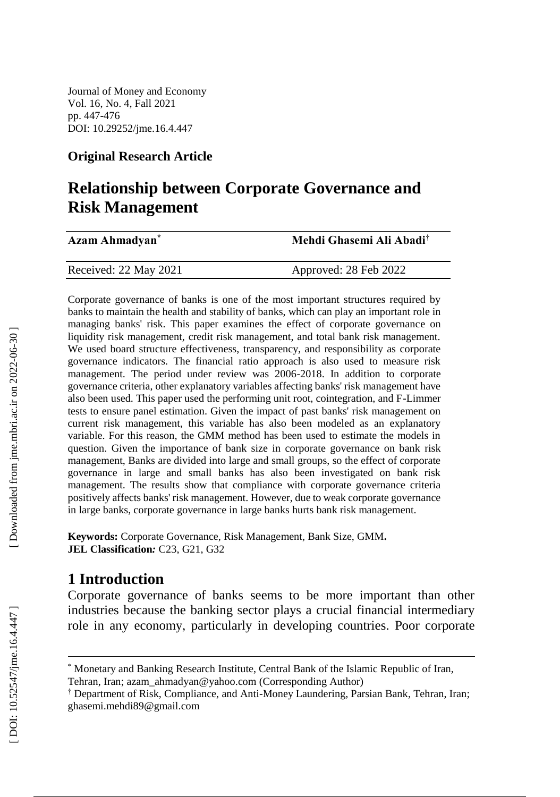Journal of Money and Economy Vol. 16, No. 4, Fall 2021 pp. 447 - 476 DOI: 10.29252/jme.16. 4 .447

#### **Original Research Article**

# **Relationship between Corporate Governance and Risk Management**

| Azam Ahmadyan <sup>*</sup> | Mehdi Ghasemi Ali Abadi <sup>†</sup> |
|----------------------------|--------------------------------------|
| Received: 22 May 2021      | Approved: 28 Feb 2022                |

Corporate governance of banks is one of the most important structures required by banks to maintain the health and stability of banks, which can play an important role in managing banks' risk. This paper examines the effect of corporate governance on liquidity risk management, credit risk management, and total bank risk management. We used board structure effectiveness, transparency, and responsibility as corporate governance indicators. The financial ratio approach is also used to measure risk management. The period under review was 2006 -2018. In addition to corporate governance criteria, other explanatory variables affecting banks' risk management have also been used. This paper used the performing unit root, cointegration, and F -Limmer tests to ensure panel estimation. Given the impact of past banks' risk management on current risk management, this variable has also been modeled as an explanatory variable. For this reason, the GMM method has been used to estimate the models in question. Given the importance of bank size in corporate governance on bank risk management, Banks are divided into large and small groups, so the effect of corporate governance in large and small banks has also been investigated on bank risk management. The results show that compliance with corporate governance criteria positively affects banks' risk management. However, due to weak corporate governance in large banks, corporate governance in large banks hurts bank risk management.

**Keywords:** Corporate Governance, Risk Management, Bank Size, GMM **. JEL Classification***:* C23, G21, G32

## **1 Introduction**

Corporate governance of banks seems to be more important than other industries because the banking sector plays a crucial financial intermediary role in any economy, particularly in developing countries. Poor corporate

l

<sup>\*</sup> Monetary and Banking Research Institute, Central Bank of the Islamic Republic of Iran,

Tehran, Iran; azam\_ahmadyan@yahoo.com (Corresponding Author )

<sup>†</sup> Department of Risk, Compliance, and Anti -Money Laundering, Parsian Bank, Tehran, Iran; ghasemi.mehdi89@gmail.com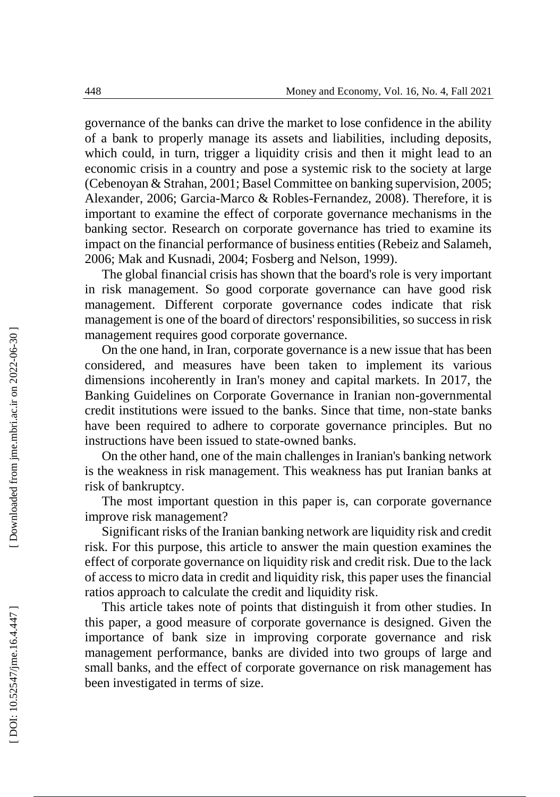governance of the banks can drive the market to lose confidence in the ability of a bank to properly manage its assets and liabilities, including deposits, which could, in turn, trigger a liquidity crisis and then it might lead to an economic crisis in a country and pose a systemic risk to the society at large (Cebenoyan & Strahan, 2001; Basel Committee on banking supervision, 2005; Alexander, 2006; Garcia -Marco & Robles -Fernandez, 2008). Therefore, it is important to examine the effect of corporate governance mechanisms in the banking sector. Research on corporate governance has tried to examine its impact on the financial performance of business entities (Rebeiz and Salameh, 2006; Mak and Kusnadi, 2004; Fosberg and Nelson, 1999).

The global financial crisis has shown that the board's role is very important in risk management. So good corporate governance can have good risk management. Different corporate governance codes indicate that risk management is one of the board of directors' responsibilities, so success in risk management requires good corporate governance.

On the one hand, in Iran, corporate governance is a new issue that has been considered, and measures have been taken to implement its various dimensions incoherently in Iran's money and capital markets. In 2017, the Banking Guidelines on Corporate Governance in Iranian non -governmental credit institutions were issued to the banks. Since that time, non -state banks have been required to adhere to corporate governance principles. But no instructions have been issued to state -owned banks.

On the other hand, one of the main challenges in Iranian's banking network is the weakness in risk management. This weakness has put Iranian banks at risk of bankruptcy.

The most important question in this paper is, can corporate governance improve risk management?

Significant risks of the Iranian banking network are liquidity risk and credit risk. For this purpose, this article to answer the main question examines the effect of corporate governance on liquidity risk and credit risk. Due to the lack of access to micro data in credit and liquidity risk, this paper uses the financial ratios approach to calculate the credit and liquidity risk .

This article takes note of points that distinguish it from other studies. In this paper, a good measure of corporate governance is designed. Given the importance of bank size in improving corporate governance and risk management performance, banks are divided into two groups of large and small banks, and the effect of corporate governance on risk management has been investigated in terms of size.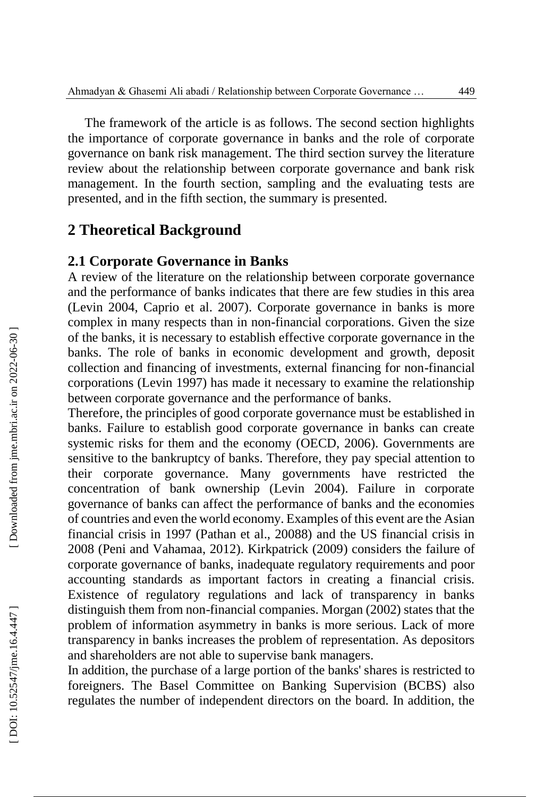The framework of the article is as follows. The second section highlights the importance of corporate governance in banks and the role of corporate governance on bank risk management. The third section survey the literature review about the relationship between corporate governance and bank risk management. In the fourth section, sampling and the evaluating tests are presented, and in the fifth section, the summary is presented.

## **2 Theoretical Background**

### **2.1 Corporate Governance in Banks**

A review of the literature on the relationship between corporate governance and the performance of banks indicates that there are few studies in this area (Levin 2004, Caprio et al. 2007). Corporate governance in banks is more complex in many respects than in non -financial corporations. Given the size of the banks, it is necessary to establish effective corporate governance in the banks. The role of banks in economic development and growth, deposit collection and financing of investments, external financing for non -financial corporations (Levin 1997) has made it necessary to examine the relationship between corporate governance and the performance of banks.

Therefore, the principles of good corporate governance must be established in banks. Failure to establish good corporate governance in banks can create systemic risks for them and the economy (OECD, 2006). Governments are sensitive to the bankruptcy of banks. Therefore, they pay special attention to their corporate governance. Many governments have restricted the concentration of bank ownership (Levin 2004). Failure in corporate governance of banks can affect the performance of banks and the economies of countries and even the world economy. Examples of this event are the Asian financial crisis in 1997 (Pathan et al., 20088) and the US financial crisis in 2008 (Peni and Vahamaa, 2012). Kirkpatrick (2009) considers the failure of corporate governance of banks, inadequate regulatory requirements and poor accounting standards as important factors in creating a financial crisis. Existence of regulatory regulations and lack of transparency in banks distinguish them from non -financial companies. Morgan (2002) states that the problem of information asymmetry in banks is more serious. Lack of more transparency in banks increases the problem of representation. As depositors and shareholders are not able to supervise bank managers.

In addition, the purchase of a large portion of the banks' shares is restricted to foreigners. The Basel Committee on Banking Supervision (BCBS) also regulates the number of independent directors on the board. In addition, the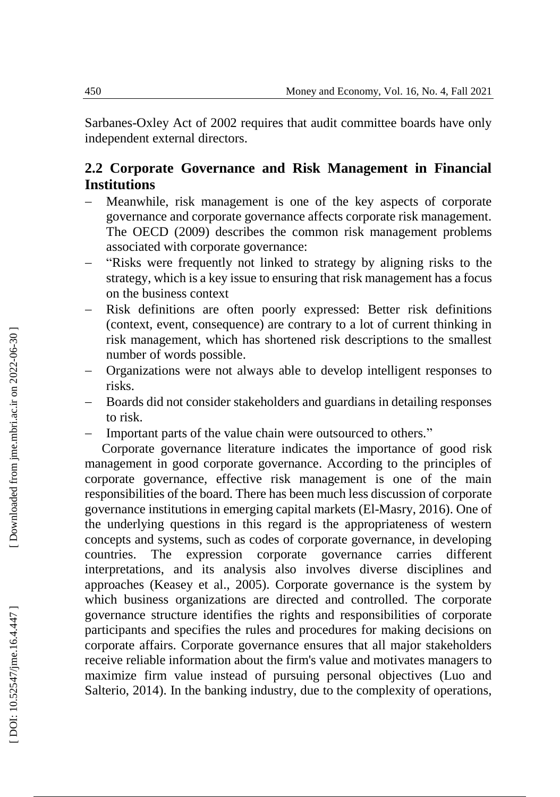Sarbanes -Oxley Act of 2002 requires that audit committee boards have only independent external directors.

## **2.2 Corporate Governance and Risk Management in Financial Institutions**

- Meanwhile, risk management is one of the key aspects of corporate governance and corporate governance affects corporate risk management. The OECD (2009) describes the common risk management problems associated with corporate governance:
- $\overline{\phantom{a}}$ "Risks were frequently not linked to strategy by aligning risks to the strategy, which is a key issue to ensuring that risk management has a focus on the business context
- Risk definitions are often poorly expressed: Better risk definitions (context, event, consequence) are contrary to a lot of current thinking in risk management, which has shortened risk descriptions to the smallest number of words possible.
- Organizations were not always able to develop intelligent responses to risks.
- Boards did not consider stakeholders and guardians in detailing responses to risk.
- Important parts of the value chain were outsourced to others."

Corporate governance literature indicates the importance of good risk management in good corporate governance. According to the principles of corporate governance, effective risk management is one of the main responsibilities of the board. There has been much less discussion of corporate governance institutions in emerging capital markets (El -Masry, 2016). One of the underlying questions in this regard is the appropriateness of western concepts and systems, such as codes of corporate governance, in developing countries. The expression corporate governance carries different interpretations, and its analysis also involves diverse disciplines and approaches (Keasey et al., 2005). Corporate governance is the system by which business organizations are directed and controlled. The corporate governance structure identifies the rights and responsibilities of corporate participants and specifies the rules and procedures for making decisions on corporate affairs. Corporate governance ensures that all major stakeholders receive reliable information about the firm's value and motivates managers to maximize firm value instead of pursuing personal objectives (Luo and Salterio, 2014). In the banking industry, due to the complexity of operations,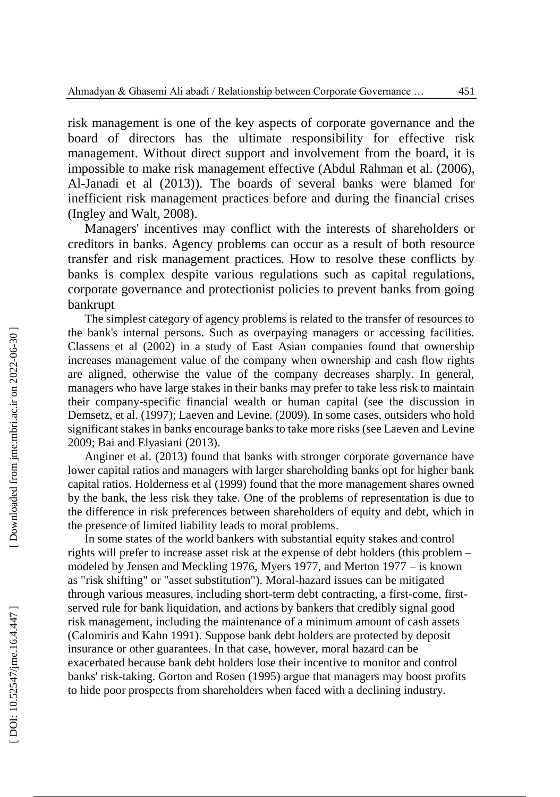risk management is one of the key aspects of corporate governance and the board of directors has the ultimate responsibility for effective risk management. Without direct support and involvement from the board, it is impossible to make risk management effective (Abdul Rahman et al. (2006), Al -Janadi et al (2013)). The boards of several banks were blamed for inefficient risk management practices before and during the financial crises (Ingley and Walt, 2008).

Managers' incentives may conflict with the interests of shareholders or creditors in banks. Agency problems can occur as a result of both resource transfer and risk management practices. How to resolve these conflicts by banks is complex despite various regulations such as capital regulations, corporate governance and protectionist policies to prevent banks from going bankrupt

The simplest category of agency problems is related to the transfer of resources to the bank's internal persons. Such as overpaying managers or accessing facilities. Classens et al (2002) in a study of East Asian companies found that ownership increases management value of the company when ownership and cash flow rights are aligned, otherwise the value of the company decreases sharply. In general, managers who have large stakes in their banks may prefer to take less risk to maintain their company -specific financial wealth or human capital (see the discussion in Demsetz, et al. (1997 ); Laeven and Levine. (2009). In some cases, outsiders who hold significant stakes in banks encourage banks to take more risks (see Laeven and Levine 2009; Bai and Elyasiani (2013).

Anginer et al. (2013) found that banks with stronger corporate governance have lower capital ratios and managers with larger shareholding banks opt for higher bank capital ratios. Holderness et al (1999) found that the more management shares owned by the bank, the less risk they take. One of the problems of representation is due to the difference in risk preferences between shareholders of equity and debt, which in the presence of limited liability leads to moral problems .

In some states of the world bankers with substantial equity stakes and control rights will prefer to increase asset risk at the expense of debt holders (this problem – modeled by Jensen and Meckling 1976, Myers 1977, and Merton 1977 – is known as "risk shifting" or "asset substitution"). Moral -hazard issues can be mitigated through various measures, including short -term debt contracting, a first -come, first served rule for bank liquidation, and actions by bankers that credibly signal good risk management, including the maintenance of a minimum amount of cash assets (Calomiris and Kahn 1991). Suppose bank debt holders are protected by deposit insurance or other guarantees. In that case, however, moral hazard can be exacerbated because bank debt holders lose their incentive to monitor and control banks' risk -taking. Gorton and Rosen (1995) argue that managers may boost profits to hide poor prospects from shareholders when faced with a declining industry.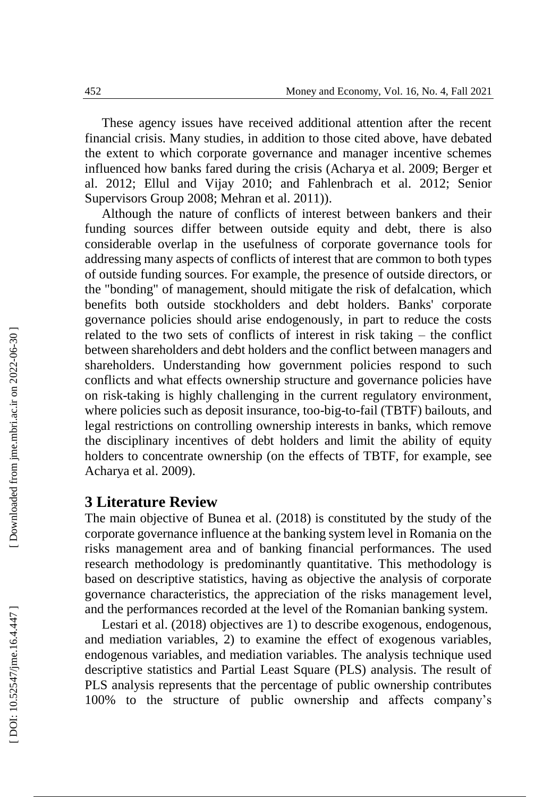These agency issues have received additional attention after the recent financial crisis. Many studies, in addition to those cited above, have debated the extent to which corporate governance and manager incentive schemes influenced how banks fared during the crisis (Acharya et al. 2009; Berger et al. 2012; Ellul and Vijay 2010; and Fahlenbrach et al. 2012; Senior Supervisors Group 2008; Mehran et al. 2011)).

Although the nature of conflicts of interest between bankers and their funding sources differ between outside equity and debt, there is also considerable overlap in the usefulness of corporate governance tools for addressing many aspects of conflicts of interest that are common to both types of outside funding sources. For example, the presence of outside directors, or the "bonding" of management, should mitigate the risk of defalcation, which benefits both outside stockholders and debt holders. Banks' corporate governance policies should arise endogenously, in part to reduce the costs related to the two sets of conflicts of interest in risk taking – the conflict between shareholders and debt holders and the conflict between managers and shareholders. Understanding how government policies respond to such conflicts and what effects ownership structure and governance policies have on risk -taking is highly challenging in the current regulatory environment, where policies such as deposit insurance, too-big-to-fail (TBTF) bailouts, and legal restrictions on controlling ownership interests in banks, which remove the disciplinary incentives of debt holders and limit the ability of equity holders to concentrate ownership (on the effects of TBTF, for example, see Acharya et al. 2009).

### **3 Literature Review**

The main objective of Bunea et al. (2018) is constituted by the study of the corporate governance influence at the banking system level in Romania on the risks management area and of banking financial performances. The used research methodology is predominantly quantitative. This methodology is based on descriptive statistics, having as objective the analysis of corporate governance characteristics, the appreciation of the risks management level, and the performances recorded at the level of the Romanian banking system.

Lestari et al. (2018) objectives are 1) to describe exogenous, endogenous, and mediation variables, 2) to examine the effect of exogenous variables, endogenous variables, and mediation variables. The analysis technique used descriptive statistics and Partial Least Square (PLS) analysis. The result of PLS analysis represents that the percentage of public ownership contributes 100% to the structure of public ownership and affects company's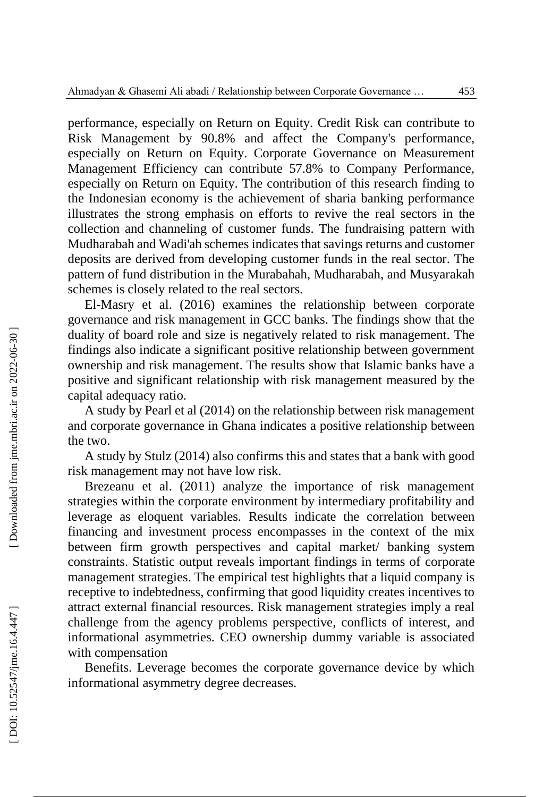performance, especially on Return on Equity. Credit Risk can contribute to Risk Management by 90.8% and affect the Company's performance, especially on Return on Equity. Corporate Governance on Measurement Management Efficiency can contribute 57.8% to Company Performance, especially on Return on Equity. The contribution of this research finding to the Indonesian economy is the achievement of sharia banking performance illustrates the strong emphasis on efforts to revive the real sectors in the collection and channeling of customer funds. The fundraising pattern with Mudharabah and Wadi'ah schemes indicates that savings returns and customer deposits are derived from developing customer funds in the real sector. The pattern of fund distribution in the Murabahah, Mudharabah, and Musyarakah schemes is closely related to the real sectors.

El -Masry et al. (2016) examines the relationship between corporate governance and risk management in GCC banks. The findings show that the duality of board role and size is negatively related to risk management. The findings also indicate a significant positive relationship between government ownership and risk management. The results show that Islamic banks have a positive and significant relationship with risk management measured by the capital adequacy ratio.

A study by Pearl et al (2014) on the relationship between risk management and corporate governance in Ghana indicates a positive relationship between the two.

A study by Stulz (2014) also confirms this and states that a bank with good risk management may not have low risk.

Brezeanu et al. (2011) analyze the importance of risk management strategies within the corporate environment by intermediary profitability and leverage as eloquent variables. Results indicate the correlation between financing and investment process encompasses in the context of the mix between firm growth perspectives and capital market/ banking system constraints. Statistic output reveals important findings in terms of corporate management strategies. The empirical test highlights that a liquid company is receptive to indebtedness, confirming that good liquidity creates incentives to attract external financial resources. Risk management strategies imply a real challenge from the agency problems perspective, conflicts of interest, and informational asymmetries. CEO ownership dummy variable is associated with compensation

Benefits. Leverage becomes the corporate governance device by which informational asymmetry degree decreases.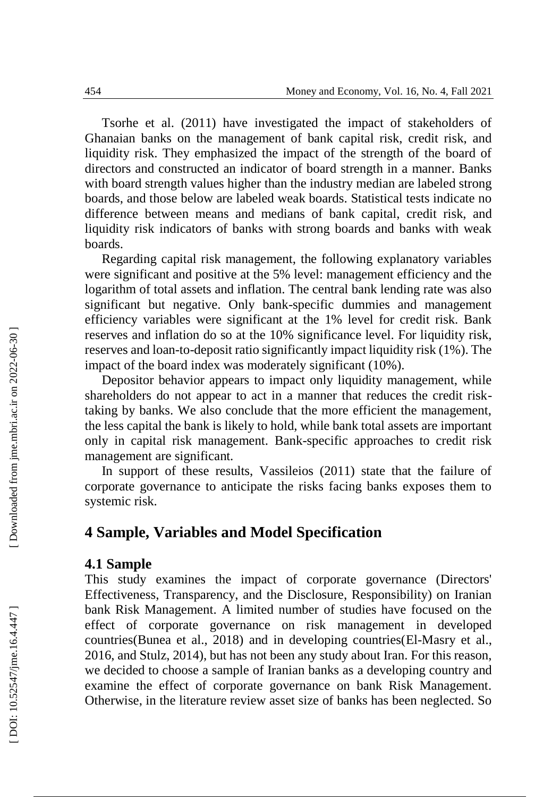Tsorhe et al. (2011) have investigated the impact of stakeholders of Ghanaian banks on the management of bank capital risk, credit risk, and liquidity risk. They emphasized the impact of the strength of the board of directors and constructed an indicator of board strength in a manner. Banks with board strength values higher than the industry median are labeled strong boards, and those below are labeled weak boards. Statistical tests indicate no difference between means and medians of bank capital, credit risk, and liquidity risk indicators of banks with strong boards and banks with weak boards.

Regarding capital risk management, the following explanatory variables were significant and positive at the 5% level: management efficiency and the logarithm of total assets and inflation. The central bank lending rate was also significant but negative. Only bank -specific dummies and management efficiency variables were significant at the 1% level for credit risk. Bank reserves and inflation do so at the 10% significance level. For liquidity risk, reserves and loan -to -deposit ratio significantly impact liquidity risk (1%). The impact of the board index was moderately significant (10%).

Depositor behavior appears to impact only liquidity management, while shareholders do not appear to act in a manner that reduces the credit risk taking by banks. We also conclude that the more efficient the management, the less capital the bank is likely to hold, while bank total assets are important only in capital risk management. Bank -specific approaches to credit risk management are significant.

In support of these results, Vassileios (2011) state that the failure of corporate governance to anticipate the risks facing banks exposes them to systemic risk.

## **4 Sample, Variables and Model Specification**

#### **4.1 Sample**

This study examines the impact of corporate governance (Directors' Effectiveness, Transparency, and the Disclosure, Responsibility) on Iranian bank Risk Management. A limited number of studies have focused on the effect of corporate governance on risk management in developed countries(Bunea et al., 2018) and in developing countries(El -Masry et al., 2016, and Stulz, 2014), but has not been any study about Iran. For this reason, we decided to choose a sample of Iranian banks as a developing country and examine the effect of corporate governance on bank Risk Management. Otherwise, in the literature review asset size of banks has been neglected. So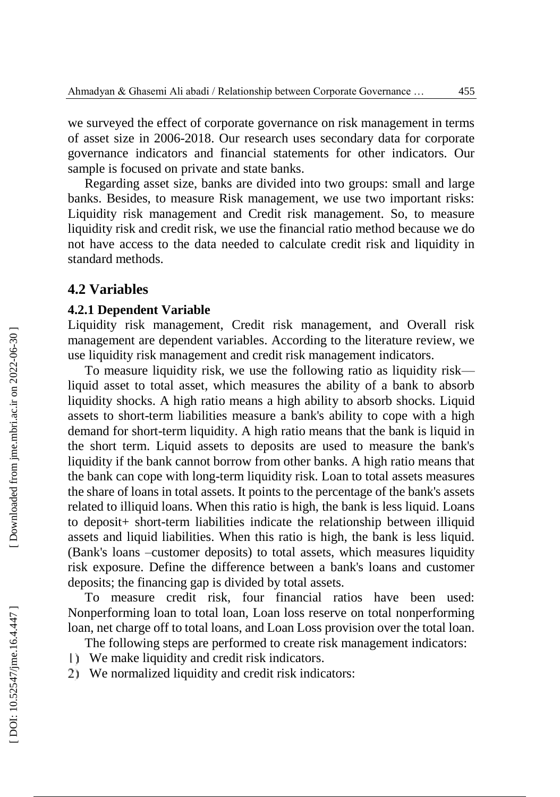we surveyed the effect of corporate governance on risk management in terms of asset size in 2006 -2018. Our research uses secondary data for corporate governance indicators and financial statements for other indicators. Our sample is focused on private and state banks.

Regarding asset size, banks are divided into two groups: small and large banks. Besides, to measure Risk management, we use two important risks: Liquidity risk management and Credit risk management. So, to measure liquidity risk and credit risk, we use the financial ratio method because we do not have access to the data needed to calculate credit risk and liquidity in standard methods.

#### **4.2 Variables**

#### **4.2.1 Dependent Variable**

Liquidity risk management, Credit risk management, and Overall risk management are dependent variables. According to the literature review, we use liquidity risk management and credit risk management indicators.

To measure liquidity risk, we use the following ratio as liquidity risk liquid asset to total asset, which measures the ability of a bank to absorb liquidity shocks. A high ratio means a high ability to absorb shocks. Liquid assets to short -term liabilities measure a bank's ability to cope with a high demand for short -term liquidity. A high ratio means that the bank is liquid in the short term. Liquid assets to deposits are used to measure the bank's liquidity if the bank cannot borrow from other banks. A high ratio means that the bank can cope with long -term liquidity risk. Loan to total assets measures the share of loans in total assets. It points to the percentage of the bank's assets related to illiquid loans. When this ratio is high, the bank is less liquid. Loans to deposit+ short -term liabilities indicate the relationship between illiquid assets and liquid liabilities. When this ratio is high, the bank is less liquid. (Bank's loans –customer deposits) to total assets, which measures liquidity risk exposure. Define the difference between a bank's loans and customer deposits; the financing gap is divided by total assets.

To measure credit risk, four financial ratios have been used: Nonperforming loan to total loan, Loan loss reserve on total nonperforming loan, net charge off to total loans, and Loan Loss provision over the total loan.

The following steps are performed to create risk management indicators:

- We make liquidity and credit risk indicators.
- We normalized liquidity and credit risk indicators: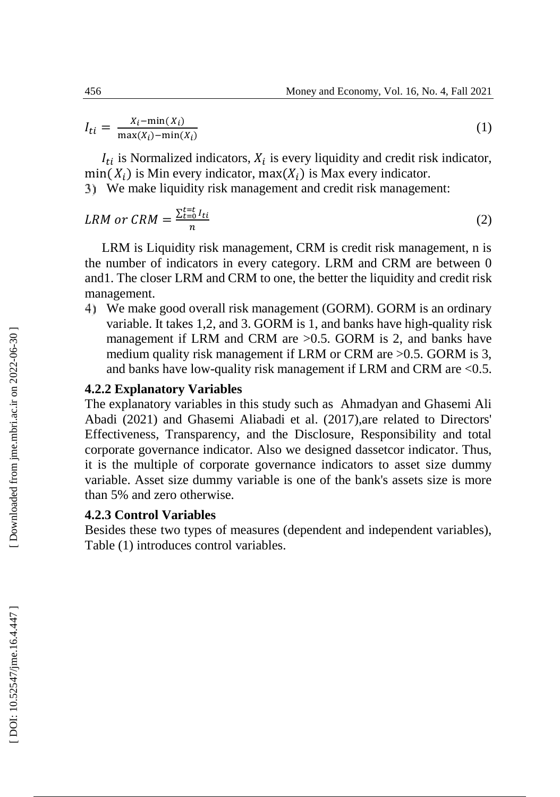$$
I_{ti} = \frac{X_i - \min(X_i)}{\max(X_i) - \min(X_i)}
$$
(1)

 $I_{ti}$  is Normalized indicators,  $X_i$  is every liquidity and credit risk indicator,  $min(X_i)$  is Min every indicator,  $max(X_i)$  is Max every indicator.

We make liquidity risk management and credit risk management:

$$
LRM \text{ or } CRM = \frac{\sum_{t=0}^{t=t} I_{ti}}{n} \tag{2}
$$

LRM is Liquidity risk management, CRM is credit risk management, n is the number of indicators in every category. LRM and CRM are between 0 and1. The closer LRM and CRM to one, the better the liquidity and credit risk management.

We make good overall risk management (GORM). GORM is an ordinary variable. It takes 1,2, and 3. GORM is 1, and banks have high-quality risk management if LRM and CRM are >0.5. GORM is 2, and banks have medium quality risk management if LRM or CRM are >0.5. GORM is 3, and banks have low -quality risk management if LRM and CRM are <0.5.

#### **4.2.2 Explanatory Variables**

The explanatory variables in this study such as Ahmadyan and Ghasemi Ali Abadi (2021) and Ghasemi Aliabadi et al. (2017),are related to Directors' Effectiveness, Transparency, and the Disclosure, Responsibility and total corporate governance indicator. Also we designed dassetcor indicator. Thus, it is the multiple of corporate governance indicators to asset size dummy variable. Asset size dummy variable is one of the bank's assets size is more than 5% and zero otherwise.

#### **4.2.3 Control Variables**

Besides these two types of measures (dependent and independent variables), Table (1) introduces control variables.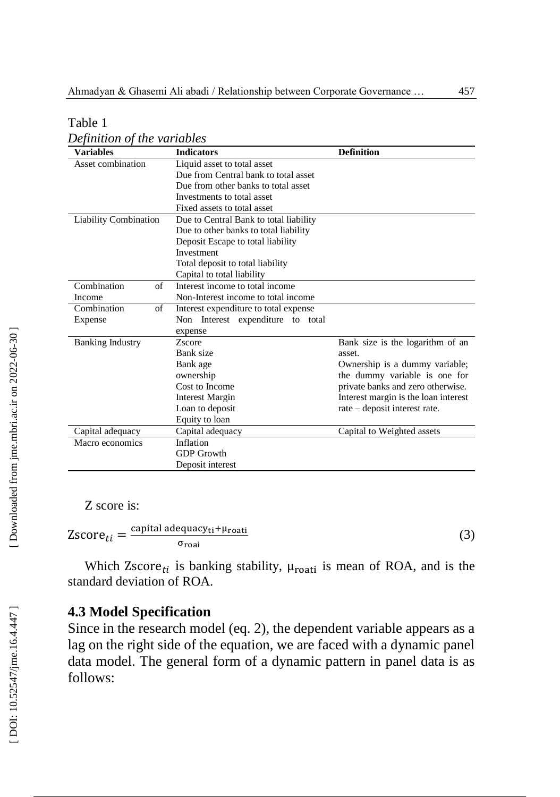| <b>Variables</b>             | <b>Indicators</b>                      | <b>Definition</b>                    |
|------------------------------|----------------------------------------|--------------------------------------|
| Asset combination            | Liquid asset to total asset            |                                      |
|                              | Due from Central bank to total asset   |                                      |
|                              | Due from other banks to total asset    |                                      |
|                              | Investments to total asset             |                                      |
|                              | Fixed assets to total asset            |                                      |
| <b>Liability Combination</b> | Due to Central Bank to total liability |                                      |
|                              | Due to other banks to total liability  |                                      |
|                              | Deposit Escape to total liability      |                                      |
|                              | Investment                             |                                      |
|                              | Total deposit to total liability       |                                      |
|                              | Capital to total liability             |                                      |
| Combination<br>of            | Interest income to total income        |                                      |
| Income                       | Non-Interest income to total income    |                                      |
| Combination<br>of            | Interest expenditure to total expense  |                                      |
| Expense                      | Non Interest expenditure to<br>total   |                                      |
|                              | expense                                |                                      |
| <b>Banking Industry</b>      | Zscore                                 | Bank size is the logarithm of an     |
|                              | Bank size                              | asset.                               |
|                              | Bank age                               | Ownership is a dummy variable;       |
|                              | ownership                              | the dummy variable is one for        |
|                              | Cost to Income                         | private banks and zero otherwise.    |
|                              | <b>Interest Margin</b>                 | Interest margin is the loan interest |
|                              | Loan to deposit                        | rate - deposit interest rate.        |
|                              | Equity to loan                         |                                      |
| Capital adequacy             | Capital adequacy                       | Capital to Weighted assets           |
| Macro economics              | Inflation                              |                                      |
|                              | <b>GDP</b> Growth                      |                                      |
|                              | Deposit interest                       |                                      |

Table 1

*Definition of the variables*

Z score is:

 $Zscore_{ti} = \frac{capital \text{ adequacy}_{ti} + \mu_{roat}}{\sigma_{rest}}$ σroai

(3)

Which Zscore<sub>ti</sub> is banking stability,  $\mu_{\text{roati}}$  is mean of ROA, and is the standard deviation of ROA.

## **4.3 Model Specification**

Since in the research model (eq. 2), the dependent variable appears as a lag on the right side of the equation, we are faced with a dynamic panel data model. The general form of a dynamic pattern in panel data is as follows: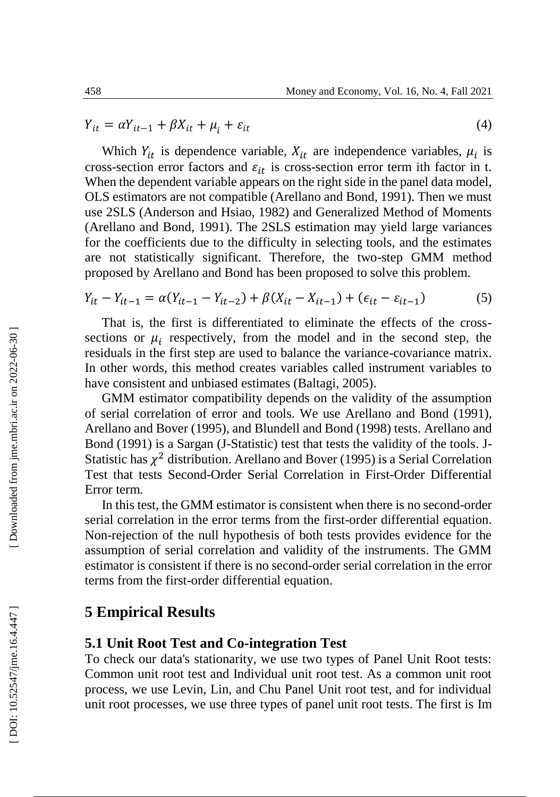$$
Y_{it} = \alpha Y_{it-1} + \beta X_{it} + \mu_i + \varepsilon_{it}
$$
\n<sup>(4)</sup>

Which  $Y_{it}$  is dependence variable,  $X_{it}$  are independence variables,  $\mu_i$  is cross-section error factors and  $\varepsilon_{it}$  is cross-section error term ith factor in t. When the dependent variable appears on the right side in the panel data model, OLS estimators are not compatible (Arellano and Bond, 1991). Then we must use 2SLS (Anderson and Hsiao, 1982) and Generalized Method of Moments (Arellano and Bond, 1991). The 2SLS estimation may yield large variances for the coefficients due to the difficulty in selecting tools, and the estimates are not statistically significant. Therefore, the two -step GMM method proposed by Arellano and Bond has been proposed to solve this problem.

$$
Y_{it} - Y_{it-1} = \alpha (Y_{it-1} - Y_{it-2}) + \beta (X_{it} - X_{it-1}) + (\epsilon_{it} - \epsilon_{it-1})
$$
\n(5)

That is, the first is differentiated to eliminate the effects of the cross sections or  $\mu_i$  respectively, from the model and in the second step, the residuals in the first step are used to balance the variance -covariance matrix. In other words, this method creates variables called instrument variables to have consistent and unbiased estimates (Baltagi, 2005).

GMM estimator compatibility depends on the validity of the assumption of serial correlation of error and tools. We use Arellano and Bond (1991), Arellano and Bover (1995), and Blundell and Bond (1998) tests. Arellano and Bond (1991) is a Sargan (J -Statistic) test that tests the validity of the tools. J - Statistic has  $\chi^2$  distribution. Arellano and Bover (1995) is a Serial Correlation Test that tests Second -Order Serial Correlation in First -Order Differential Error term.

In this test, the GMM estimator is consistent when there is no second-order serial correlation in the error terms from the first -order differential equation. Non -rejection of the null hypothesis of both tests provides evidence for the assumption of serial correlation and validity of the instruments. The GMM estimator is consistent if there is no second -order serial correlation in the error terms from the first -order differential equation.

## **5 Empirical Results**

### **5.1 Unit Root Test and Co -integration Test**

To check our data's stationarity, we use two types of Panel Unit Root tests: Common unit root test and Individual unit root test. As a common unit root process, we use Levin, Lin, and Chu Panel Unit root test, and for individual unit root processes, we use three types of panel unit root tests. The first is I m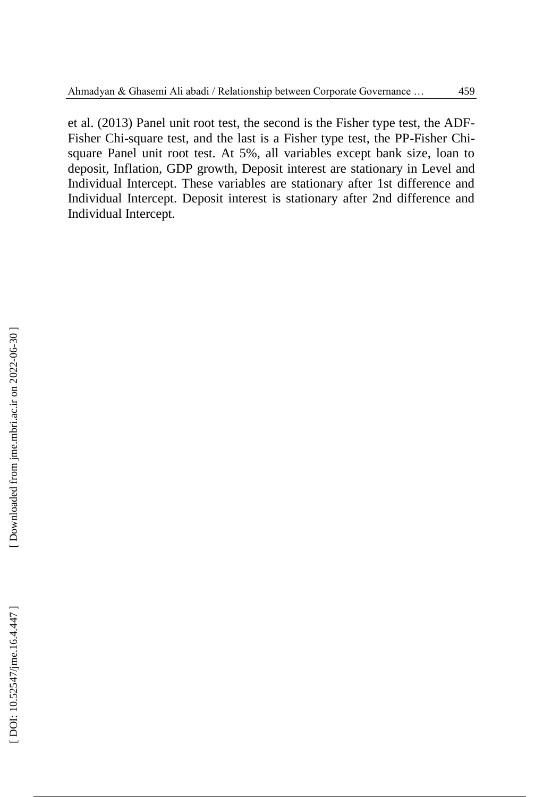et al. (2013) Panel unit root test, the second is the Fisher type test, the ADF - Fisher Chi-square test, and the last is a Fisher type test, the PP-Fisher Chisquare Panel unit root test. At 5%, all variables except bank size, loan to deposit, Inflation, GDP growth, Deposit interest are stationary in Level and Individual Intercept. These variables are stationary after 1st difference and Individual Intercept. Deposit interest is stationary after 2nd difference and Individual Intercept.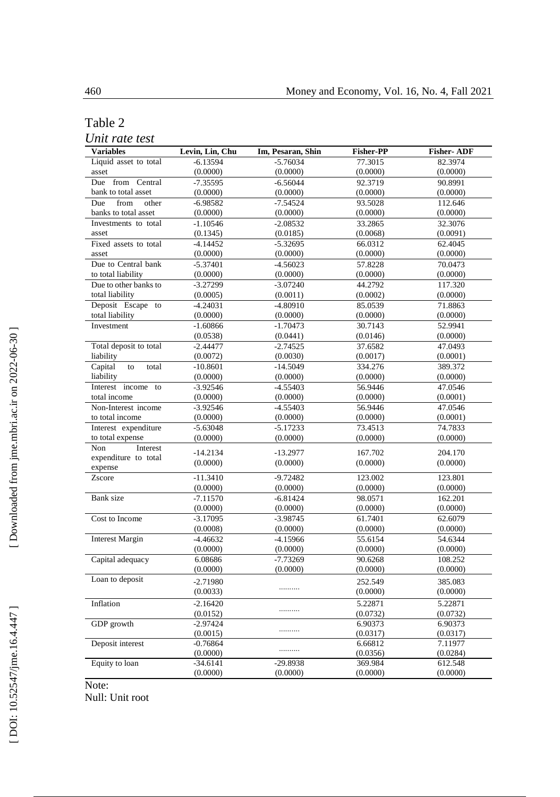#### Table 2

*Unit rate test*

| <b>Variables</b>       | Levin, Lin, Chu | Im, Pesaran, Shin | <b>Fisher-PP</b> | <b>Fisher-ADF</b> |
|------------------------|-----------------|-------------------|------------------|-------------------|
| Liquid asset to total  | $-6.13594$      | $-5.76034$        | 77.3015          | 82.3974           |
| asset                  | (0.0000)        | (0.0000)          | (0.0000)         | (0.0000)          |
| Due from Central       | $-7.35595$      | $-6.56044$        | 92.3719          | 90.8991           |
| bank to total asset    | (0.0000)        | (0.0000)          | (0.0000)         | (0.0000)          |
| from<br>other<br>Due   | $-6.98582$      | $-7.54524$        | 93.5028          | 112.646           |
| banks to total asset   | (0.0000)        | (0.0000)          | (0.0000)         | (0.0000)          |
| Investments to total   | $-1.10546$      | $-2.08532$        | 33.2865          | 32.3076           |
| asset                  | (0.1345)        | (0.0185)          | (0.0068)         | (0.0091)          |
| Fixed assets to total  | $-4.14452$      | $-5.32695$        | 66.0312          | 62.4045           |
| asset                  | (0.0000)        | (0.0000)          | (0.0000)         | (0.0000)          |
| Due to Central bank    | $-5.37401$      | $-4.56023$        | 57.8228          | 70.0473           |
| to total liability     | (0.0000)        | (0.0000)          | (0.0000)         | (0.0000)          |
| Due to other banks to  | $-3.27299$      | $-3.07240$        | 44.2792          | 117.320           |
| total liability        | (0.0005)        | (0.0011)          | (0.0002)         | (0.0000)          |
| Deposit Escape to      | $-4.24031$      | $-4.80910$        | 85.0539          | 71.8863           |
| total liability        | (0.0000)        | (0.0000)          | (0.0000)         | (0.0000)          |
| Investment             | $-1.60866$      | $-1.70473$        | 30.7143          | 52.9941           |
|                        | (0.0538)        | (0.0441)          | (0.0146)         | (0.0000)          |
| Total deposit to total | $-2.44477$      | $-2.74525$        | 37.6582          | 47.0493           |
| liability              | (0.0072)        | (0.0030)          | (0.0017)         | (0.0001)          |
| Capital<br>to<br>total | $-10.8601$      | $-14.5049$        | 334.276          | 389.372           |
| liability              | (0.0000)        | (0.0000)          | (0.0000)         | (0.0000)          |
| Interest income to     | $-3.92546$      | $-4.55403$        | 56.9446          | 47.0546           |
| total income           | (0.0000)        | (0.0000)          | (0.0000)         | (0.0001)          |
| Non-Interest income    | $-3.92546$      | $-4.55403$        | 56.9446          | 47.0546           |
| to total income        | (0.0000)        | (0.0000)          | (0.0000)         | (0.0001)          |
| Interest expenditure   | $-5.63048$      | $-5.17233$        | 73.4513          | 74.7833           |
| to total expense       | (0.0000)        | (0.0000)          | (0.0000)         | (0.0000)          |
| Interest<br>Non        | $-14.2134$      | $-13.2977$        | 167.702          | 204.170           |
| expenditure to total   | (0.0000)        | (0.0000)          | (0.0000)         | (0.0000)          |
| expense                |                 |                   |                  |                   |
| Zscore                 | $-11.3410$      | $-9.72482$        | 123.002          | 123.801           |
|                        | (0.0000)        | (0.0000)          | (0.0000)         | (0.0000)          |
| Bank size              | $-7.11570$      | $-6.81424$        | 98.0571          | 162.201           |
|                        | (0.0000)        | (0.0000)          | (0.0000)         | (0.0000)          |
| Cost to Income         | $-3.17095$      | $-3.98745$        | 61.7401          | 62.6079           |
|                        | (0.0008)        | (0.0000)          | (0.0000)         | (0.0000)          |
| <b>Interest Margin</b> | $-4.46632$      | $-4.15966$        | 55.6154          | 54.6344           |
|                        | (0.0000)        | (0.0000)          | (0.0000)         | (0.0000)          |
| Capital adequacy       | 6.08686         | $-7.73269$        | 90.6268          | 108.252           |
|                        | (0.0000)        | (0.0000)          | (0.0000)         | (0.0000)          |
| Loan to deposit        | $-2.71980$      |                   | 252.549          | 385.083           |
|                        | (0.0033)        | .                 | (0.0000)         | (0.0000)          |
| Inflation              | $-2.16420$      |                   | 5.22871          | 5.22871           |
|                        | (0.0152)        | .                 | (0.0732)         | (0.0732)          |
| GDP growth             | $-2.97424$      |                   | 6.90373          | 6.90373           |
|                        | (0.0015)        | .                 | (0.0317)         | (0.0317)          |
| Deposit interest       | $-0.76864$      |                   | 6.66812          | 7.11977           |
|                        | (0.0000)        | .                 | (0.0356)         | (0.0284)          |
| Equity to loan         | $-34.6141$      | $-29.8938$        | 369.984          | 612.548           |
|                        | (0.0000)        | (0.0000)          | (0.0000)         | (0.0000)          |

Note:

Null: Unit root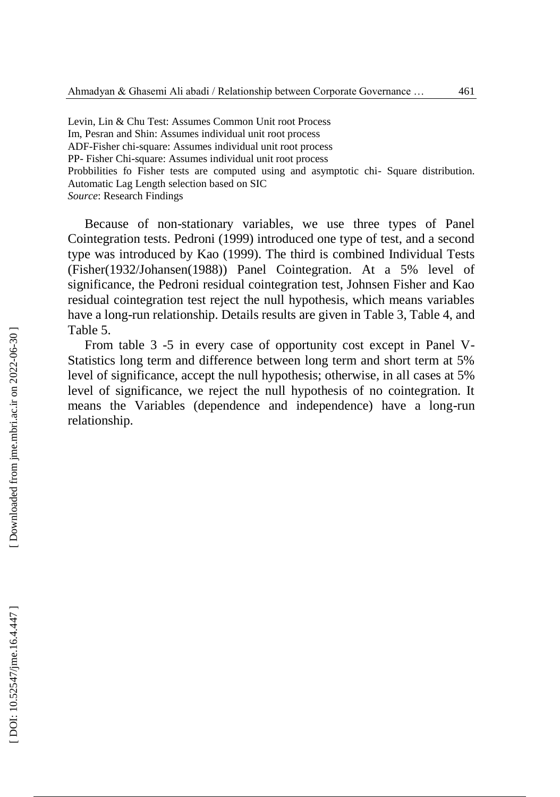Levin, Lin & Chu Test: Assumes Common Unit root Process Im, Pesran and Shin: Assumes individual unit root process ADF -Fisher chi -square: Assumes individual unit root process PP - Fisher Chi -square: Assumes individual unit root process Probbilities fo Fisher tests are computed using and asymptotic chi - Square distribution. Automatic Lag Length selection based on SIC *Source*: Research Findings

Because of non -stationary variables, we use three types of Panel Cointegration tests. Pedroni (1999) introduced one type of test, and a second type was introduced by Kao (1999). The third is combined Individual Tests (Fisher(1932/Johansen(1988)) Panel Cointegration. At a 5% level of significance, the Pedroni residual cointegration test, Johnsen Fisher and Kao residual cointegration test reject the null hypothesis, which means variables have a long -run relationship. Details results are given in Table 3, Table 4, and Table 5.

From table 3 -5 in every case of opportunity cost except in Panel V-Statistics long term and difference between long term and short term at 5% level of significance, accept the null hypothesis; otherwise, in all cases at 5% level of significance, we reject the null hypothesis of no cointegration. It means the Variables (dependence and independence) have a long -run relationship.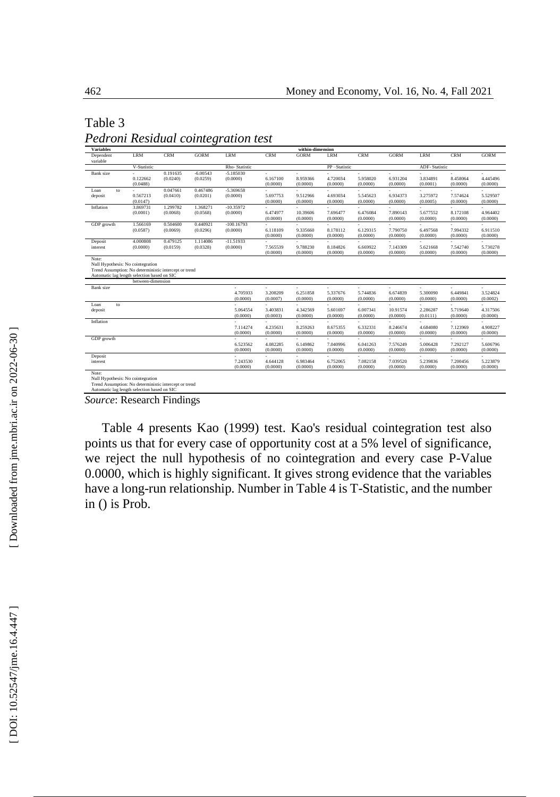#### Table 3

| Pedroni Residual cointegration test |  |  |
|-------------------------------------|--|--|
|-------------------------------------|--|--|

| <b>Variables</b>                                                                           |                   |            |             |               |            | within-dimension |              |            |             |               |            |             |
|--------------------------------------------------------------------------------------------|-------------------|------------|-------------|---------------|------------|------------------|--------------|------------|-------------|---------------|------------|-------------|
| Dependent<br>variable                                                                      | LRM               | <b>CRM</b> | <b>GORM</b> | LRM           | <b>CRM</b> | <b>GORM</b>      | LRM          | <b>CRM</b> | <b>GORM</b> | LRM           | <b>CRM</b> | <b>GORM</b> |
|                                                                                            | V-Statistic       |            |             | Rho-Statistic |            |                  | PP-Statistic |            |             | ADF-Statistic |            |             |
| <b>Bank</b> size                                                                           |                   | 0.191635   | $-6.00543$  | $-5.185030$   | ×.         | ٠                |              |            | ٠           | ٠             |            |             |
|                                                                                            | 0.122662          | (0.0240)   | (0.0259)    | (0.0000)      | 6.167100   | 8.959366         | 4.720034     | 5.958020   | 6.931204    | 3.834891      | 8.458064   | 4.445496    |
|                                                                                            | (0.0488)          |            |             |               | (0.0000)   | (0.0000)         | (0.0000)     | (0.0000)   | (0.0000)    | (0.0001)      | (0.0000)   | (0.0000)    |
| Loan<br>to                                                                                 | ÷                 | 0.047661   | 0.467486    | -5.369658     |            |                  | ÷.           | ÷.         | ٠           |               | ÷.         | ä,          |
| deposit                                                                                    | 0.567213          | (0.0410)   | (0.0201)    | (0.0000)      | 5.697753   | 9.512966         | 4.693034     | 5.545623   | 6.934373    | 3.275972      | 7.574624   | 5.529507    |
|                                                                                            | (0.0147)          |            |             |               | (0.0000)   | (0.0000)         | (0.0000)     | (0.0000)   | (0.0000)    | (0.0005)      | (0.0000)   | (0.0000)    |
| Inflation                                                                                  | 3.869731          | 1.299782   | 1.368271    | $-10.35972$   |            |                  |              |            |             |               |            |             |
|                                                                                            | (0.0001)          | (0.0068)   | (0.0568)    | (0.0000)      | 6.474977   | 10.39606         | 7.696477     | 6.476084   | 7.890143    | 5.677552      | 8.172108   | 4.964402    |
|                                                                                            |                   |            |             |               | (0.0000)   | (0.0000)         | (0.0000)     | (0.0000)   | (0.0000)    | (0.0000)      | (0.0000)   | (0.0000)    |
| GDP growth                                                                                 | 1.566169          | 0.504600   | 0.440921    | $-100.16793$  | ä,         |                  |              |            |             |               |            |             |
|                                                                                            | (0.0587)          | (0.0069)   | (0.0296)    | (0.0000)      | 6.118109   | 9.335660         | 8.178112     | 6.129315   | 7.790750    | 6.497568      | 7.994332   | 6.911510    |
|                                                                                            |                   |            |             |               | (0.0000)   | (0.0000)         | (0.0000)     | (0.0000)   | (0.0000)    | (0.0000)      | (0.0000)   | (0.0000)    |
| Deposit                                                                                    | 4.000808          | 0.479125   | 1.114086    | $-11.51933$   |            |                  |              |            |             |               |            |             |
| interest                                                                                   | (0.0000)          | (0.0159)   | (0.0328)    | (0.0000)      | 7.565539   | 9.788230         | 8.184826     | 6.669922   | 7.143309    | 5.621668      | 7.542740   | 5.730278    |
|                                                                                            |                   |            |             |               | (0.0000)   | (0.0000)         | (0.0000)     | (0.0000)   | (0.0000)    | (0.0000)      | (0.0000)   | (0.0000)    |
| Note:<br>Null Hypothesis: No cointegration                                                 |                   |            |             |               |            |                  |              |            |             |               |            |             |
| Trend Assumption: No deterministic intercept or trend                                      |                   |            |             |               |            |                  |              |            |             |               |            |             |
| Automatic lag length selection based on SIC                                                |                   |            |             |               |            |                  |              |            |             |               |            |             |
|                                                                                            | between-dimension |            |             |               |            |                  |              |            |             |               |            |             |
| <b>Bank</b> size                                                                           |                   |            |             |               | ٠          |                  | ٠            |            |             | ٠             | ÷.         |             |
|                                                                                            |                   |            |             | 4.705933      | 3.208209   | 6.251858         | 5.337676     | 5.744836   | 6.674839    | 5.300090      | 6.449841   | 3.524824    |
|                                                                                            |                   |            |             | (0.0000)      | (0.0007)   | (0.0000)         | (0.0000)     | (0.0000)   | (0.0000)    | (0.0000)      | (0.0000)   | (0.0002)    |
| Loan<br>to                                                                                 |                   |            |             |               | ٠          | ä,               | ×.           | ×.         | ٠           | ٠             | ÷          | ÷           |
| deposit                                                                                    |                   |            |             | 5.064554      | 3.403831   | 4.342569         | 5.601697     | 6.007341   | 10.91574    | 2.286287      | 5.719640   | 4.317506    |
|                                                                                            |                   |            |             | (0.0000)      | (0.0003)   | (0.0000)         | (0.0000)     | (0.0000)   | (0.0000)    | (0.0111)      | (0.0000)   | (0.0000)    |
| Inflation                                                                                  |                   |            |             |               | ä,         |                  |              |            |             |               |            |             |
|                                                                                            |                   |            |             | 7.114274      | 4.235631   | 8.259263         | 8.675355     | 6.332331   | 8.246674    | 4.684080      | 7.123969   | 4.908227    |
|                                                                                            |                   |            |             | (0.0000)      | (0.0000)   | (0.0000)         | (0.0000)     | (0.0000)   | (0.0000)    | (0.0000)      | (0.0000)   | (0.0000)    |
| GDP growth                                                                                 |                   |            |             |               |            |                  |              |            |             |               | ÷.         |             |
|                                                                                            |                   |            |             | 6.523562      | 4.082285   | 6.149862         | 7.040996     | 6.041263   | 7.576249    | 5.006428      | 7.292127   | 5.606796    |
|                                                                                            |                   |            |             | (0.0000)      | (0.0000)   | (0.0000)         | (0.0000)     | (0.0000)   | (0.0000)    | (0.0000)      | (0.0000)   | (0.0000)    |
| Deposit                                                                                    |                   |            |             | ٠             | ÷          | ä,               |              | à.         | ٠           |               |            |             |
| interest                                                                                   |                   |            |             | 7.243530      | 4.644128   | 6.983464         | 6.752065     | 7.082158   | 7.039520    | 5.239836      | 7.200456   | 5.223879    |
|                                                                                            |                   |            |             | (0.0000)      | (0.0000)   | (0.0000)         | (0.0000)     | (0.0000)   | (0.0000)    | (0.0000)      | (0.0000)   | (0.0000)    |
| Note:                                                                                      |                   |            |             |               |            |                  |              |            |             |               |            |             |
| Null Hypothesis: No cointegration<br>Trend Assumption: No deterministic intercept or trend |                   |            |             |               |            |                  |              |            |             |               |            |             |
| Automatic lag length selection based on SIC                                                |                   |            |             |               |            |                  |              |            |             |               |            |             |
|                                                                                            |                   |            |             |               |            |                  |              |            |             |               |            |             |

*Source*: Research Findings

Table 4 presents Kao (1999) test. Kao's residual cointegration test also points us that for every case of opportunity cost at a 5% level of significance, we reject the null hypothesis of no cointegration and every case P -Value 0.0000, which is highly significant. It gives strong evidence that the variables have a long -run relationship. Number in Table 4 is T -Statistic, and the number in () is Prob.

[Downloaded from jme.mbri.ac.ir on 2022-06-30]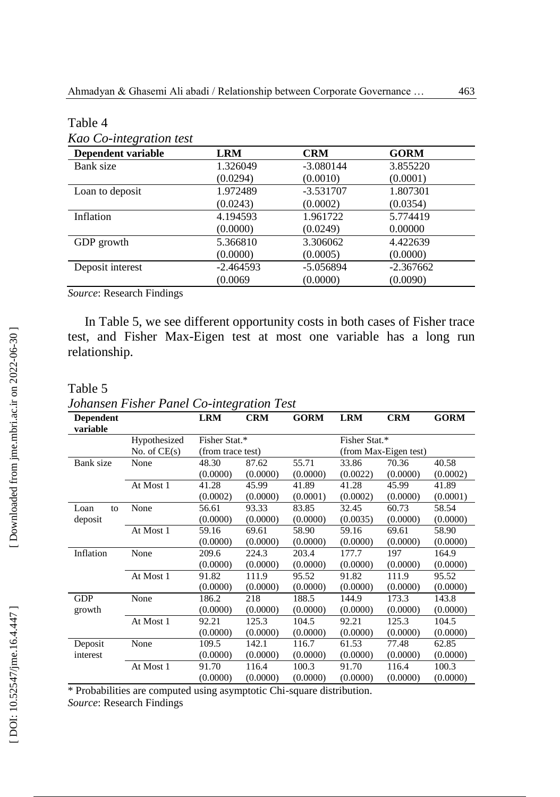| Dependent variable | <b>LRM</b>  | <b>CRM</b>  | <b>GORM</b> |
|--------------------|-------------|-------------|-------------|
| Bank size          | 1.326049    | $-3.080144$ | 3.855220    |
|                    | (0.0294)    | (0.0010)    | (0.0001)    |
| Loan to deposit    | 1.972489    | $-3.531707$ | 1.807301    |
|                    | (0.0243)    | (0.0002)    | (0.0354)    |
| Inflation          | 4.194593    | 1.961722    | 5.774419    |
|                    | (0.0000)    | (0.0249)    | 0.00000     |
| GDP growth         | 5.366810    | 3.306062    | 4.422639    |
|                    | (0.0000)    | (0.0005)    | (0.0000)    |
| Deposit interest   | $-2.464593$ | $-5.056894$ | $-2.367662$ |
|                    | (0.0069)    | (0.0000)    | (0.0090)    |

Table 4

*Source*: Research Findings

In Table 5, we see different opportunity costs in both cases of Fisher trace test, and Fisher Max -Eigen test at most one variable has a long run relationship.

#### Table 5

*Johansen Fisher Panel Co -integration Test*

| <b>Dependent</b><br>variable |                | <b>LRM</b>        | <b>CRM</b> | <b>GORM</b> | <b>LRM</b> | <b>CRM</b>            | <b>GORM</b> |  |  |
|------------------------------|----------------|-------------------|------------|-------------|------------|-----------------------|-------------|--|--|
|                              | Hypothesized   | Fisher Stat.*     |            |             |            | Fisher Stat.*         |             |  |  |
|                              | No. of $CE(s)$ | (from trace test) |            |             |            | (from Max-Eigen test) |             |  |  |
| Bank size                    | None           | 48.30             | 87.62      | 55.71       | 33.86      | 70.36                 | 40.58       |  |  |
|                              |                | (0.0000)          | (0.0000)   | (0.0000)    | (0.0022)   | (0.0000)              | (0.0002)    |  |  |
|                              | At Most 1      | 41.28             | 45.99      | 41.89       | 41.28      | 45.99                 | 41.89       |  |  |
|                              |                | (0.0002)          | (0.0000)   | (0.0001)    | (0.0002)   | (0.0000)              | (0.0001)    |  |  |
| Loan<br>to                   | None           | 56.61             | 93.33      | 83.85       | 32.45      | 60.73                 | 58.54       |  |  |
| deposit                      |                | (0.0000)          | (0.0000)   | (0.0000)    | (0.0035)   | (0.0000)              | (0.0000)    |  |  |
|                              | At Most 1      | 59.16             | 69.61      | 58.90       | 59.16      | 69.61                 | 58.90       |  |  |
|                              |                | (0.0000)          | (0.0000)   | (0.0000)    | (0.0000)   | (0.0000)              | (0.0000)    |  |  |
| Inflation                    | None           | 209.6             | 224.3      | 203.4       | 177.7      | 197                   | 164.9       |  |  |
|                              |                | (0.0000)          | (0.0000)   | (0.0000)    | (0.0000)   | (0.0000)              | (0.0000)    |  |  |
|                              | At Most 1      | 91.82             | 111.9      | 95.52       | 91.82      | 111.9                 | 95.52       |  |  |
|                              |                | (0.0000)          | (0.0000)   | (0.0000)    | (0.0000)   | (0.0000)              | (0.0000)    |  |  |
| <b>GDP</b>                   | None           | 186.2             | 218        | 188.5       | 144.9      | 173.3                 | 143.8       |  |  |
| growth                       |                | (0.0000)          | (0.0000)   | (0.0000)    | (0.0000)   | (0.0000)              | (0.0000)    |  |  |
|                              | At Most 1      | 92.21             | 125.3      | 104.5       | 92.21      | 125.3                 | 104.5       |  |  |
|                              |                | (0.0000)          | (0.0000)   | (0.0000)    | (0.0000)   | (0.0000)              | (0.0000)    |  |  |
| Deposit                      | None           | 109.5             | 142.1      | 116.7       | 61.53      | 77.48                 | 62.85       |  |  |
| interest                     |                | (0.0000)          | (0.0000)   | (0.0000)    | (0.0000)   | (0.0000)              | (0.0000)    |  |  |
|                              | At Most 1      | 91.70             | 116.4      | 100.3       | 91.70      | 116.4                 | 100.3       |  |  |
|                              |                | (0.0000)          | (0.0000)   | (0.0000)    | (0.0000)   | (0.0000)              | (0.0000)    |  |  |

\* Probabilities are computed using asymptotic Chi -square distribution.

*Source*: Research Findings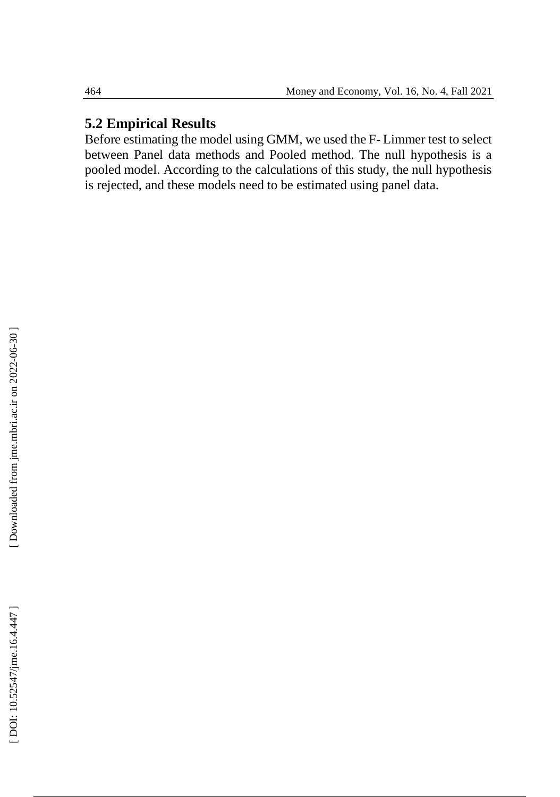# **5.2 Empirical Results**

Before estimating the model using GMM, we used the F - Limmer test to select between Panel data methods and Pooled method. The null hypothesis is a pooled model. According to the calculations of this study, the null hypothesis is rejected, and these models need to be estimated using panel data.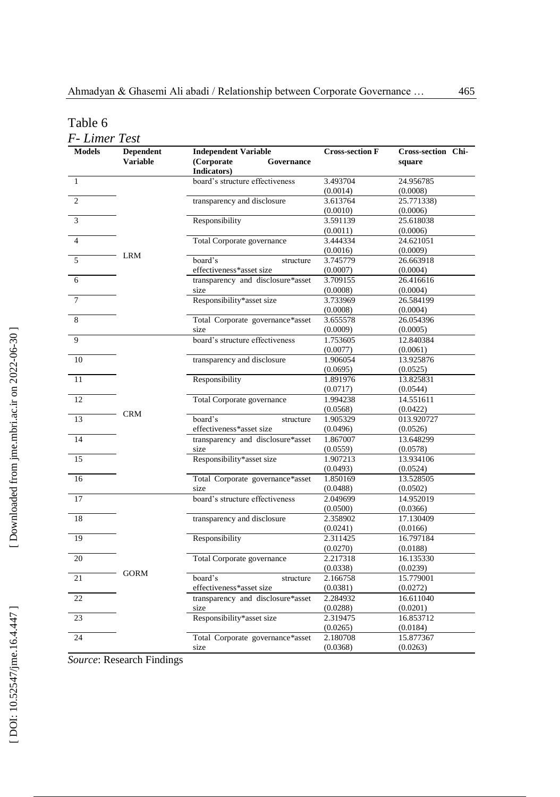Table 6

| <b>Models</b>  | <b>Dependent</b> | <b>Independent Variable</b>             | <b>Cross-section F</b> | <b>Cross-section Chi-</b> |  |  |
|----------------|------------------|-----------------------------------------|------------------------|---------------------------|--|--|
|                | <b>Variable</b>  | (Corporate<br>Governance<br>Indicators) |                        | square                    |  |  |
| $\mathbf{1}$   |                  | board's structure effectiveness         | 3.493704               | 24.956785                 |  |  |
|                |                  |                                         | (0.0014)               | (0.0008)                  |  |  |
| $\overline{c}$ |                  | transparency and disclosure             | 3.613764               | 25.771338)                |  |  |
|                |                  |                                         | (0.0010)               | (0.0006)                  |  |  |
| 3              |                  | Responsibility                          | 3.591139               | 25.618038                 |  |  |
|                |                  |                                         | (0.0011)               | (0.0006)                  |  |  |
| $\overline{4}$ |                  | Total Corporate governance              | 3.444334               | 24.621051                 |  |  |
|                | LRM              |                                         | (0.0016)               | (0.0009)                  |  |  |
| 5              |                  | board's<br>structure                    | 3.745779               | 26.663918                 |  |  |
|                |                  | effectiveness*asset size                | (0.0007)               | (0.0004)                  |  |  |
| 6              |                  | transparency and disclosure*asset       | 3.709155               | 26.416616                 |  |  |
|                |                  | size                                    | (0.0008)               | (0.0004)                  |  |  |
| $\overline{7}$ |                  | Responsibility*asset size               | 3.733969               | 26.584199                 |  |  |
|                |                  |                                         | (0.0008)               | (0.0004)                  |  |  |
| 8              |                  | Total Corporate governance*asset        | 3.655578               | 26.054396                 |  |  |
|                |                  | size                                    | (0.0009)               | (0.0005)                  |  |  |
| $\overline{9}$ |                  | board's structure effectiveness         | 1.753605               | 12.840384                 |  |  |
|                |                  |                                         | (0.0077)               | (0.0061)                  |  |  |
| 10             |                  | transparency and disclosure             | 1.906054               | 13.925876                 |  |  |
|                |                  |                                         | (0.0695)               | (0.0525)                  |  |  |
| 11             |                  | Responsibility                          | 1.891976               | 13.825831                 |  |  |
|                |                  |                                         | (0.0717)               | (0.0544)                  |  |  |
| 12             |                  | Total Corporate governance              | 1.994238               | 14.551611                 |  |  |
|                |                  |                                         | (0.0568)               | (0.0422)                  |  |  |
| 13             | <b>CRM</b>       | board's<br>structure                    | 1.905329               | 013.920727                |  |  |
|                |                  | effectiveness*asset size                | (0.0496)               | (0.0526)                  |  |  |
| 14             |                  | transparency and disclosure*asset       | 1.867007               | 13.648299                 |  |  |
|                |                  | size                                    | (0.0559)               | (0.0578)                  |  |  |
| 15             |                  | Responsibility*asset size               | 1.907213               | 13.934106                 |  |  |
|                |                  |                                         | (0.0493)               | (0.0524)                  |  |  |
| 16             |                  | Total Corporate governance*asset        | 1.850169               | 13.528505                 |  |  |
|                |                  | size                                    | (0.0488)               | (0.0502)                  |  |  |
| 17             |                  | board's structure effectiveness         | 2.049699               | 14.952019                 |  |  |
|                |                  |                                         | (0.0500)               | (0.0366)                  |  |  |
| 18             |                  | transparency and disclosure             | 2.358902               | 17.130409                 |  |  |
|                |                  |                                         | (0.0241)               | (0.0166)                  |  |  |
| 19             |                  | Responsibility                          | 2.311425               | 16.797184                 |  |  |
|                |                  |                                         | (0.0270)               | (0.0188)                  |  |  |
| 20             |                  | Total Corporate governance              | 2.217318               | 16.135330                 |  |  |
|                |                  |                                         | (0.0338)               | (0.0239)                  |  |  |
| 21             | <b>GORM</b>      | board's<br>structure                    | 2.166758               | 15.779001                 |  |  |
|                |                  | effectiveness*asset size                | (0.0381)               | (0.0272)                  |  |  |
| 22             |                  | transparency and disclosure*asset       | 2.284932               | 16.611040                 |  |  |
|                |                  | size                                    | (0.0288)               | (0.0201)                  |  |  |
| 23             |                  | Responsibility*asset size               | 2.319475               | 16.853712                 |  |  |
|                |                  |                                         | (0.0265)               | (0.0184)                  |  |  |
| 24             |                  | Total Corporate governance*asset        | 2.180708               | 15.877367                 |  |  |
|                |                  | size                                    | (0.0368)               | (0.0263)                  |  |  |

*Source*: Research Findings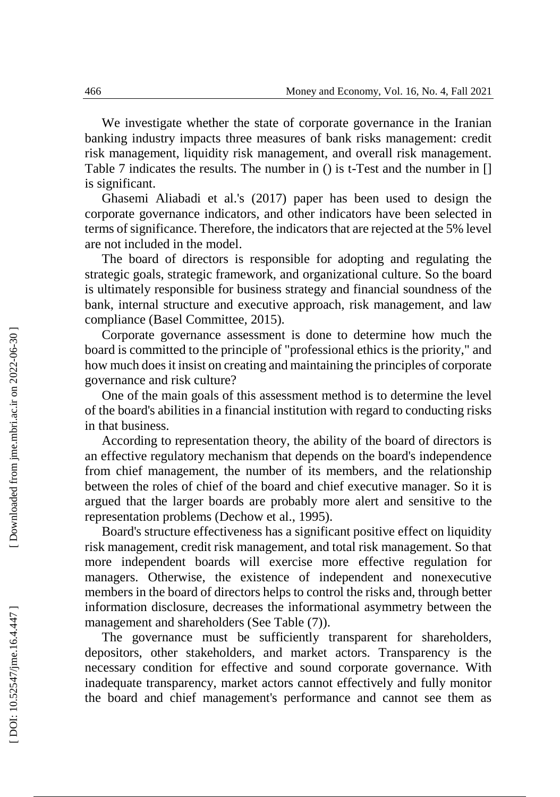We investigate whether the state of corporate governance in the Iranian banking industry impacts three measures of bank risks management: credit risk management, liquidity risk management, and overall risk management. Table 7 indicates the results. The number in () is t -Test and the number in [] is significant.

Ghasemi Aliabadi et al.'s (2017) paper has been used to design the corporate governance indicators, and other indicators have been selected in terms of significance. Therefore, the indicators that are rejected at the 5% level are not included in the model.

The board of directors is responsible for adopting and regulating the strategic goals, strategic framework, and organizational culture. So the board is ultimately responsible for business strategy and financial soundness of the bank, internal structure and executive approach, risk management, and law compliance (Basel Committee, 2015).

Corporate governance assessment is done to determine how much the board is committed to the principle of "professional ethics is the priority," and how much does it insist on creating and maintaining the principles of corporate governance and risk culture?

One of the main goals of this assessment method is to determine the level of the board's abilities in a financial institution with regard to conducting risks in that business.

According to representation theory, the ability of the board of directors is an effective regulatory mechanism that depends on the board's independence from chief management, the number of its members, and the relationship between the roles of chief of the board and chief executive manager. So it is argued that the larger boards are probably more alert and sensitive to the representation problems (Dechow et al. , 1995).

Board's structure effectiveness has a significant positive effect on liquidity risk management, credit risk management, and total risk management. So that more independent boards will exercise more effective regulation for managers. Otherwise, the existence of independent and nonexecutive members in the board of directors helps to control the risks and, through better information disclosure, decreases the informational asymmetry between the management and shareholders (See Table (7)).

The governance must be sufficiently transparent for shareholders, depositors, other stakeholders, and market actors. Transparency is the necessary condition for effective and sound corporate governance. With inadequate transparency, market actors cannot effectively and fully monitor the board and chief management's performance and cannot see them as

Downloaded from jme.mbri.ac.ir on 2022-06-30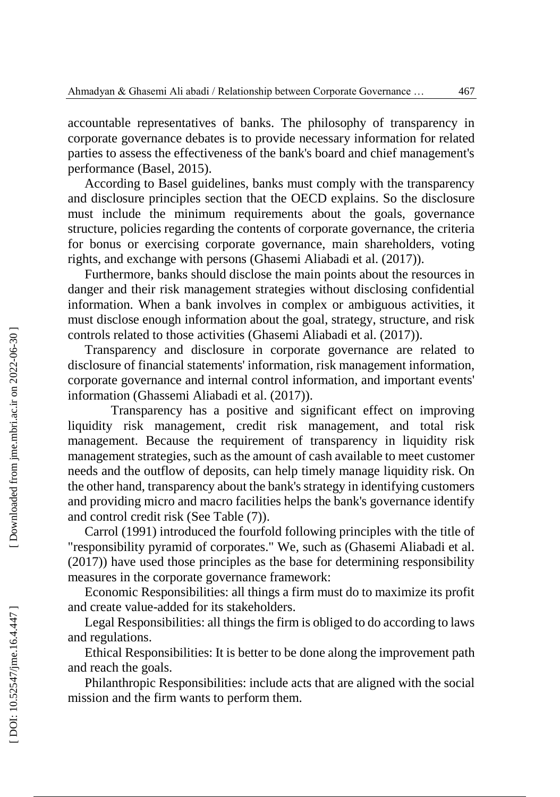accountable representatives of banks. The philosophy of transparency in corporate governance debates is to provide necessary information for related parties to assess the effectiveness of the bank's board and chief management's performance (Basel , 2015).

According to Basel guidelines, banks must comply with the transparency and disclosure principles section that the OECD explains. So the disclosure must include the minimum requirements about the goals, governance structure, policies regarding the contents of corporate governance, the criteria for bonus or exercising corporate governance, main shareholders, voting rights, and exchange with persons (Ghasemi Aliabadi et al. (2017)).

Furthermore, banks should disclose the main points about the resources in danger and their risk management strategies without disclosing confidential information. When a bank involves in complex or ambiguous activities, it must disclose enough information about the goal, strategy, structure, and risk controls related to those activities (Ghasemi Aliabadi et al. (2017)).

Transparency and disclosure in corporate governance are related to disclosure of financial statements' information, risk management information, corporate governance and internal control information, and important events' information (Ghassemi Aliabadi et al. (2017)).

Transparency has a positive and significant effect on improving liquidity risk management, credit risk management, and total risk management. Because the requirement of transparency in liquidity risk management strategies, such as the amount of cash available to meet customer needs and the outflow of deposits, can help timely manage liquidity risk. On the other hand, transparency about the bank's strategy in identifying customers and providing micro and macro facilities helps the bank's governance identify and control credit risk (See Table (7)).

Carrol (1991) introduced the fourfold following principles with the title of "responsibility pyramid of corporates." We, such as (Ghasemi Aliabadi et al. (2017)) have used those principles as the base for determining responsibility measures in the corporate governance framework:

Economic Responsibilities: all things a firm must do to maximize its profit and create value -added for its stakeholders.

Legal Responsibilities: all things the firm is obliged to do according to laws and regulations.

Ethical Responsibilities: It is better to be done along the improvement path and reach the goals.

Philanthropic Responsibilities: include acts that are aligned with the social mission and the firm wants to perform them.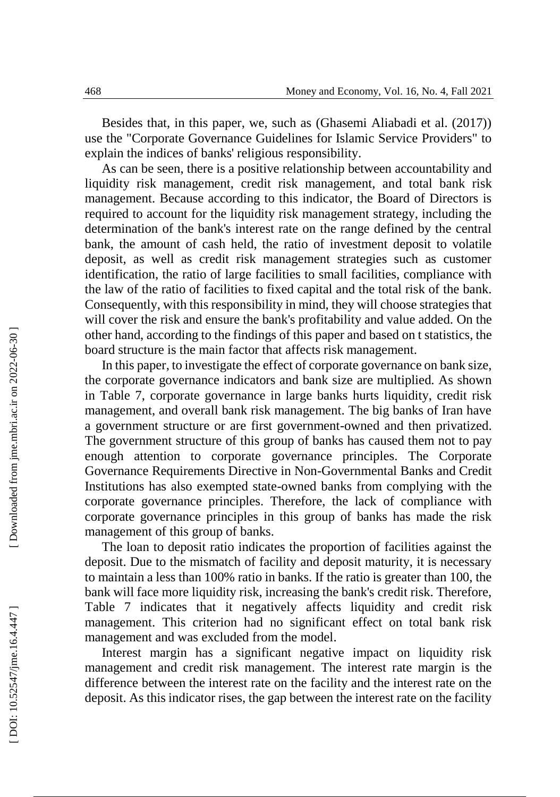Besides that, in this paper, we, such as (Ghasemi Aliabadi et al. (2017)) use the "Corporate Governance Guidelines for Islamic Service Providers" to explain the indices of banks' religious responsibility.

As can be seen, there is a positive relationship between accountability and liquidity risk management, credit risk management, and total bank risk management. Because according to this indicator, the Board of Directors is required to account for the liquidity risk management strategy, including the determination of the bank's interest rate on the range defined by the central bank, the amount of cash held, the ratio of investment deposit to volatile deposit, as well as credit risk management strategies such as customer identification, the ratio of large facilities to small facilities, compliance with the law of the ratio of facilities to fixed capital and the total risk of the bank. Consequently, with this responsibility in mind, they will choose strategies that will cover the risk and ensure the bank's profitability and value added. On the other hand, according to the findings of this paper and based on t statistics, the board structure is the main factor that affects risk management.

In this paper, to investigate the effect of corporate governance on bank size, the corporate governance indicators and bank size are multiplied. As shown in Table 7, corporate governance in large banks hurts liquidity, credit risk management, and overall bank risk management. The big banks of Iran have a government structure or are first government -owned and then privatized. The government structure of this group of banks has caused them not to pay enough attention to corporate governance principles. The Corporate Governance Requirements Directive in Non -Governmental Banks and Credit Institutions has also exempted state -owned banks from complying with the corporate governance principles. Therefore, the lack of compliance with corporate governance principles in this group of banks has made the risk management of this group of banks.

The loan to deposit ratio indicates the proportion of facilities against the deposit. Due to the mismatch of facility and deposit maturity, it is necessary to maintain a less than 100% ratio in banks. If the ratio is greater than 100, the bank will face more liquidity risk, increasing the bank's credit risk. Therefore, Table 7 indicates that it negatively affects liquidity and credit risk management. This criterion had no significant effect on total bank risk management and was excluded from the model.

Interest margin has a significant negative impact on liquidity risk management and credit risk management. The interest rate margin is the difference between the interest rate on the facility and the interest rate on the deposit. As this indicator rises, the gap between the interest rate on the facility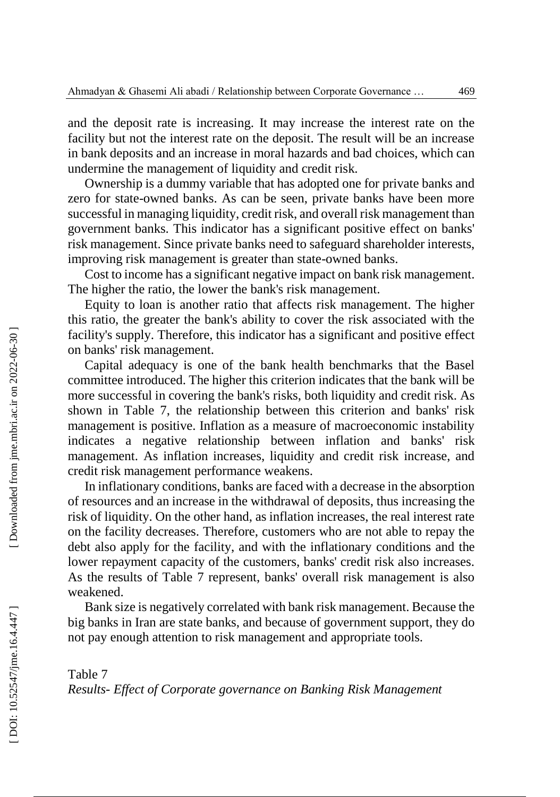and the deposit rate is increasing. It may increase the interest rate on the facility but not the interest rate on the deposit. The result will be an increase in bank deposits and an increase in moral hazards and bad choices, which can undermine the management of liquidity and credit risk.

Ownership is a dummy variable that has adopted one for private banks and zero for state -owned banks. As can be seen, private banks have been more successful in managing liquidity, credit risk, and overall risk management than government banks. This indicator has a significant positive effect on banks' risk management. Since private banks need to safeguard shareholder interests, improving risk management is greater than state -owned banks.

Cost to income has a significant negative impact on bank risk management. The higher the ratio, the lower the bank's risk management.

Equity to loan is another ratio that affects risk management. The higher this ratio, the greater the bank's ability to cover the risk associated with the facility's supply. Therefore, this indicator has a significant and positive effect on banks' risk management.

Capital adequacy is one of the bank health benchmarks that the Basel committee introduced. The higher this criterion indicates that the bank will be more successful in covering the bank's risks, both liquidity and credit risk. As shown in Table 7, the relationship between this criterion and banks' risk management is positive. Inflation as a measure of macroeconomic instability indicates a negative relationship between inflation and banks' risk management. As inflation increases, liquidity and credit risk increase, and credit risk management performance weakens.

In inflationary conditions, banks are faced with a decrease in the absorption of resources and an increase in the withdrawal of deposits, thus increasing the risk of liquidity. On the other hand, as inflation increases, the real interest rate on the facility decreases. Therefore, customers who are not able to repay the debt also apply for the facility, and with the inflationary conditions and the lower repayment capacity of the customers, banks' credit risk also increases. As the results of Table 7 represent, banks' overall risk management is also weakened.

Bank size is negatively correlated with bank risk management. Because the big banks in Iran are state banks, and because of government support, they do not pay enough attention to risk management and appropriate tools.

Table 7 *Results - Effect of Corporate governance on Banking Risk Management*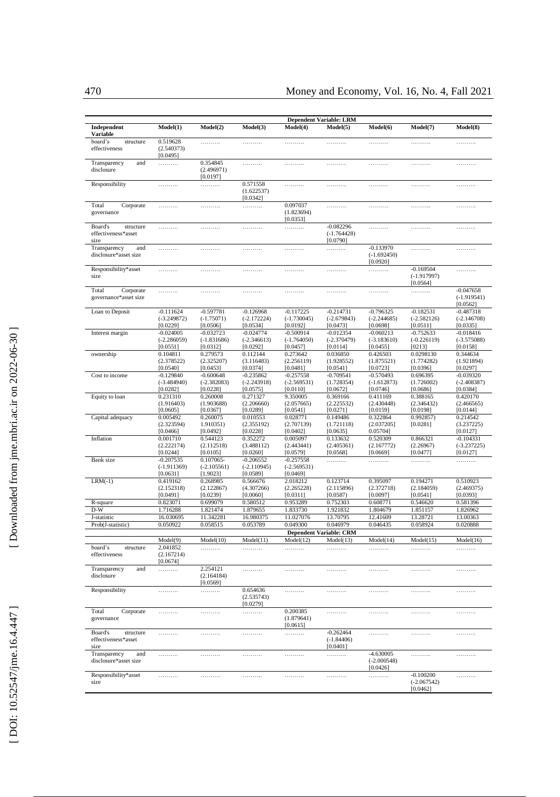|                                                     |                                          |                                          |                                          |                                          | <b>Dependent Variable: LRM</b>           |                                          |                                          |                                           |
|-----------------------------------------------------|------------------------------------------|------------------------------------------|------------------------------------------|------------------------------------------|------------------------------------------|------------------------------------------|------------------------------------------|-------------------------------------------|
| Independent<br>Variable                             | Model(1)                                 | Model(2)                                 | Model(3)                                 | Model(4)                                 | Model(5)                                 | Model(6)                                 | Model(7)                                 | Model(8)                                  |
| board's<br>structure<br>effectiveness               | 0.519628<br>(2.540373)<br>[0.0495]       | .                                        | .                                        | .                                        | .                                        | .                                        | .                                        | .                                         |
| Transparency<br>and<br>disclosure                   | .                                        | 0.354845<br>(2.496971)<br>[0.0197]       | .                                        | .                                        | .                                        | .                                        | .                                        | .                                         |
| Responsibility                                      | .                                        | .                                        | 0.571558<br>(1.622537)<br>[0.0342]       | .                                        | .                                        | .                                        | .                                        | .                                         |
| Total<br>Corporate<br>governance                    | .                                        | .                                        | .                                        | 0.097037<br>(1.823694)<br>[0.0353]       | .                                        | .                                        | .                                        | .                                         |
| Board's<br>structure<br>effectiveness*asset<br>size | .                                        | .                                        | .                                        | .                                        | $-0.082296$<br>$(-1.764428)$<br>[0.0790] | .                                        | .                                        | .                                         |
| Transparency<br>and<br>disclosure*asset size        | .                                        | .                                        | .                                        | .                                        | .                                        | $-0.133970$<br>$(-1.692450)$<br>[0.0920] | .                                        | .                                         |
| Responsibility*asset<br>size                        | .                                        | .                                        | .                                        | .                                        | .                                        | .                                        | $-0.169504$<br>$(-1.917997)$<br>[0.0564] | .                                         |
| Total<br>Corporate<br>governance*asset size         | .                                        | .                                        | .                                        | .                                        | .                                        | .                                        | .                                        | $-0.047658$<br>$(-1.919541)$<br>[0.0562]  |
| Loan to Deposit                                     | $-0.111624$<br>$(-3.249872)$<br>[0.0229] | -0.597781<br>$(-1.75071)$<br>[0.0506]    | $-0.126968$<br>$(-2.172224)$<br>[0.0534] | $-0.117225$<br>$(-1.730045)$<br>[0.0192] | $-0.214731$<br>$(-2.679843)$<br>[0.0473] | $-0.796325$<br>$(-2.244685)$<br>[0.0698] | $-0.182531$<br>$(-2.582126)$<br>[0.0511] | $-0.487318$<br>$(-2.146708)$<br>[0.0335]  |
| Interest margin                                     | $-0.024005$<br>$(-2.286059)$<br>[0.0551] | $-0.032723$<br>$(-1.831686)$<br>[0.0312] | $-0.024774$<br>$(-2.346613)$<br>[0.0292] | $-0.500914$<br>$(-1.764050)$<br>[0.0457] | $-0.012354$<br>$(-2.370479)$<br>[0.0114] | $-0.060213$<br>$(-3.183610)$<br>[0.0455] | $-0.752633$<br>$(-0.226119)$<br>[0213]   | $-0.018416$<br>$(-3.575088)$<br>[0.0158]  |
| ownership                                           | 0.104811<br>(2.378522)<br>[0.0540]       | 0.279573<br>(2.325207)<br>[0.0453]       | 0.112144<br>(3.116483)<br>[0.0374]       | 0.273642<br>(2.256119)<br>[0.0481]       | 0.036850<br>(1.928552)<br>[0.0541]       | 0.426503<br>(1.875521)<br>[0.0723]       | 0.0298130<br>(1.774282)<br>[0.0396]      | 0.344634<br>(1.921894)<br>[0.0297]        |
| Cost to income                                      | $-0.129840$<br>$(-3.484940)$<br>[0.0282] | $-0.600648$<br>$(-2.382083)$<br>[0.0228] | $-0.235862$<br>$(-2.243918)$<br>[0.0575] | $-0.257558$<br>$(-2.569531)$<br>[0.0110] | $-0.709541$<br>(1.728354)<br>[0.0672]    | $-0.570493$<br>$(-1.612873)$<br>[0.0746] | 0.696395<br>(1.726002)<br>[0.0686]       | $-0.039320$<br>$(-2, 408387)$<br>[0.0384] |
| Equity to loan                                      | 0.231310<br>(1.916403)<br>[0.0605]       | 0.260008<br>(1.903688)<br>[0.0367]       | 0.271327<br>(2.206660)<br>[0.0289]       | 9.350005<br>(2.057665)<br>[0.0541]       | 0.369166<br>(2.225532)<br>[0.0271]       | 0.411169<br>(2.430448)<br>[0.0159]       | 0.388165<br>(2.346432)<br>[0.0198]       | 0.420170<br>(2.466565)<br>[0.0144]        |
| Capital adequacy                                    | 0.005492<br>(2.323594)<br>[0.0466]       | 0.260075<br>1.910351)<br>[0.0492]        | 0.010553<br>(2.355192)<br>[0.0228]       | 0.028771<br>(2.707139)<br>[0.0402]       | 0.149486<br>(1.721118)<br>[0.0635]       | 0.322864<br>(2.037205)<br>0.05704]       | 0.992857<br>[0.0281]                     | 0.214542<br>(3.237225)<br>[0.0127]        |
| Inflation                                           | 0.001710<br>(2.222174)<br>[0.0244]       | 0.544123<br>(2.112518)<br>[0.0105]       | 0.352272<br>(3.488112)<br>[0.0260]       | 0.005097<br>(2.443441)<br>[0.0579]       | 0.133632<br>(2.405361)<br>[0.0568]       | 0.520309<br>(2.167772)<br>[0.0669]       | 0.866321<br>(2.26967)<br>[0.0477]        | $-0.104331$<br>$(-3.237225)$<br>[0.0127]  |
| <b>Bank</b> size                                    | $-0.207535$<br>$(-1.911369)$<br>[0.0631] | 0.107065-<br>$(-2.105561)$<br>[1.9023]   | $-0.206552$<br>$(-2.110945)$<br>[0.0589] | $-0.257558$<br>$(-2.569531)$<br>[0.0469] | .                                        | .                                        | .                                        | .                                         |
| $LRM(-1)$                                           | 0.419162<br>(2.152318)                   | 0.268985<br>(2.122867)                   | 0.566676<br>(4.307266)                   | 2.018212<br>(2.265228)                   | 0.123714<br>(2.115896)                   | 0.395097<br>(2.372718)                   | 0.194271<br>(2.184059)                   | 0.510923<br>(2.469375)                    |
| R-square                                            | [0.0491]<br>0.823071                     | [0.0239]<br>0.699079                     | [0.0060]<br>0.580512                     | [0.0311]<br>0.953289                     | [0.0587)<br>0.752303                     | [0.0097]<br>0.608771                     | [0.0541]<br>0.546620                     | [0.0393]<br>0.581396                      |
| $D-W$                                               | 1.716288                                 | 1.821474                                 | 1.879655                                 | 1.833730                                 | 1.921832                                 | 1.804679                                 | 1.851157                                 | 1.826962                                  |
| J-statistic                                         | 16.030695                                | 11.342281                                | 16.980375                                | 11.027076                                | 13.70795                                 | 12.41609                                 | 13.28721                                 | 13.00363                                  |
| Prob(J-statistic)                                   | 0.050922                                 | 0.058515                                 | 0.053789                                 | 0.049300                                 | 0.046979                                 | 0.046435                                 | 0.058924                                 | 0.020888                                  |
|                                                     |                                          |                                          |                                          |                                          | <b>Dependent Variable: CRM</b>           |                                          |                                          |                                           |
|                                                     | Model(9)                                 | Model(10)                                | Model(11)                                | Model(12)                                | Model(13)                                | Model(14)                                | Model(15)                                | Model(16)                                 |
| structure<br>board's<br>effectiveness               | 2.041852<br>(2.167214)<br>[0.0674]       | .                                        | .                                        | .                                        | .                                        | .                                        | .                                        | .                                         |
| and<br>Transparency<br>disclosure                   | .                                        | 2.254121<br>(2.164184)<br>[0.0569]       | .                                        | .                                        | .                                        | .                                        | .                                        | .                                         |
| Responsibility                                      | .                                        | .                                        | 0.654636<br>(2.535743)<br>[0.0279]       | .                                        | .                                        | .                                        | .                                        | .                                         |
| Total<br>Corporate<br>governance                    | .                                        | .                                        | .                                        | 0.200385<br>(1.879641)<br>[0.0615]       | .                                        | .                                        | .                                        | .                                         |
| Board's<br>structure<br>effectiveness*asset<br>size | .                                        | .                                        | .                                        | .                                        | $-0.262464$<br>$(-1.84406)$<br>[0.0401]  | .                                        | .                                        | .                                         |
| Transparency<br>and<br>disclosure*asset size        | .                                        | .                                        | .                                        | .                                        | .                                        | $-4.630005$<br>$(-2.000548)$<br>[0.0426] | .                                        | .                                         |
| Responsibility*asset<br>size                        | .                                        | .                                        | .                                        | .                                        | .                                        | .                                        | $-0.100200$<br>$(-2.067542)$<br>[0.0462] | .                                         |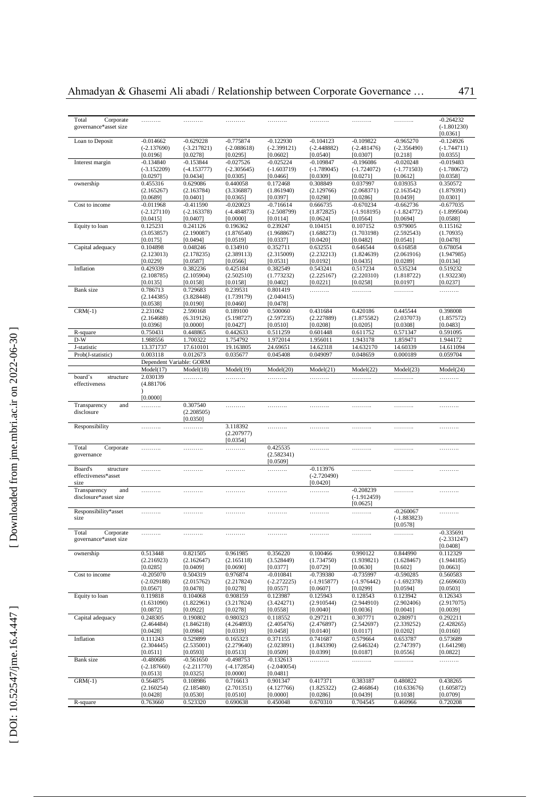| Total<br>Corporate<br>governance*asset size | .                         | .                        | .                      | .                         | .                         | .                         | .                            | $-0.264232$<br>$(-1.801230)$<br>[0.0361] |
|---------------------------------------------|---------------------------|--------------------------|------------------------|---------------------------|---------------------------|---------------------------|------------------------------|------------------------------------------|
| Loan to Deposit                             | $-0.014662$               | $-0.629228$              | $-0.775874$            | $-0.122930$               | $-0.104123$               | $-0.109822$               | $-0.965270$                  | $-0.124926$                              |
|                                             | $(-2.137690)$             | $(-3.217821)$            | $(-2.088618)$          | $(-2.399121)$             | $(-2.448882)$             | $(-2.481476)$             | $(-2.356490)$                | $(-1.744711)$                            |
|                                             | [0.0196]                  | [0.0278]                 | [0.0295]               | [0.0602]                  | [0.0540]                  | [0.0307]                  | [0.218]                      | [0.0355]                                 |
| Interest margin                             | $-0.134840$               | $-0.153844$              | $-0.027526$            | $-0.025224$               | $-0.109847$               | $-0.196086$               | $-0.020248$                  | $-0.019483$                              |
|                                             | $(-3.152209)$             | $(-4.153777)$            | $(-2.305645)$          | $(-1.603719)$             | $(-1.789045)$             | $(-1.724072)$             | $(-1.771503)$                | $(-1.780672)$                            |
|                                             | [0.0297]                  | [0.0434]                 | [0.0305]               | [0.0466]                  | [0.0309]                  | [0.0271]                  | [0.0612]                     | [0.0358]                                 |
| ownership                                   | 0.455316                  | 0.629086                 | 0.440058               | 0.172468                  | 0.308849                  | 0.037997                  | 0.039353                     | 0.350572                                 |
|                                             | (2.165267)<br>[0.0689]    | (2.163784)<br>[0.0401]   | (3.336887)<br>[0.0365] | (1.861940)<br>[0.0397]    | (2.129766)<br>[0.0298]    | (2.068371)<br>[0.0286]    | (2.163542)<br>[0.0459]       | (1.879391)<br>[0.0301]                   |
| Cost to income                              | $-0.011968$               | $-0.411590$              | $-0.020023$            | $-0.716614$               | 0.666735                  | $-0.670234$               | $-0.662736$                  | $-0.677035$                              |
|                                             | $(-2.127110)$             | $(-2.163378)$            | $(-4.484873)$          | $(-2.508799)$             | (1.872825)                | $(-1.918195)$             | $(-1.824772)$                | $(-1.899504)$                            |
|                                             | [0.0415]                  | [0.0407]                 | [0.0000]               | [0.0114]                  | [0.0624]                  | [0.0564]                  | [0.0694]                     | [0.0588]                                 |
| Equity to loan                              | 0.125231                  | 0.241126                 | 0.196362               | 0.239247                  | 0.104151                  | 0.107152                  | 0.979005                     | 0.115162                                 |
|                                             | (3.053857)                | (2.190087)               | (1.876540)             | (1.968867)                | (1.688273)                | (1.703198)                | (2.592543)                   | (1.70935)                                |
|                                             | [0.0175]                  | [0.0494]                 | [0.0519]               | [0.0337]                  | [0.0420]                  | [0.0482]                  | [0.0541]                     | [0.0478]                                 |
| Capital adequacy                            | 0.104898                  | 0.048246                 | 0.134910               | 0.352711                  | 0.632551                  | 0.646544                  | 0.616858                     | 0.678054                                 |
|                                             | (2.123013)                | (2.178235)               | (2.389113)             | (2.315009)                | (2.232213)                | (1.824639)                | (2.061916)                   | (1.947985)                               |
|                                             | [0.0229]                  | [0.0587]                 | [0.0566]               | [0.0531]                  | [0.0192]                  | [0.0435]                  | [0.0289]                     | [0.0134]                                 |
| Inflation                                   | 0.429339<br>(2.108785)    | 0.382236<br>(2.105904)   | 0.425184<br>(2.502510) | 0.382549<br>(1.773232)    | 0.543241<br>(2.225167)    | 0.517234<br>(2.220310)    | 0.535234<br>(1.818722)       | 0.519232<br>(1.932230)                   |
|                                             | [0.0135]                  | [0.0158]                 | [0.0158]               | [0.0402]                  | [0.0221]                  | [0.0258]                  | [0.0197]                     | [0.0237]                                 |
| Bank size                                   | 0.786713                  | 0.729683                 | 0.239531               | 0.801419                  | .                         | .                         | .                            | .                                        |
|                                             | (2.144385)                | (3.828448)               | (1.739179)             | (2.040415)                |                           |                           |                              |                                          |
|                                             | [0.0538]                  | [0.0190]                 | [0.0460]               | [0.0478]                  |                           |                           |                              |                                          |
| $CRM(-1)$                                   | 2.231062                  | 2.590168                 | 0.189100               | 0.500060                  | 0.431684                  | 0.420186                  | 0.445544                     | 0.398008                                 |
|                                             | (2.164688)                | (6.319126)               | (5.198727)             | (2.597235)                | (2.227889)                | (1.875582)                | (2.037073)                   | (1.857572)                               |
|                                             | [0.0396]                  | [0.0000]                 | [0.0427]               | [0.0510]                  | [0.0208]                  | [0.0205]                  | [0.0308]                     | [0.0483]                                 |
| R-square                                    | 0.750431                  | 0.448865                 | 0.442633               | 0.511259                  | 0.601448                  | 0.611752                  | 0.571347                     | 0.591095                                 |
| $D-W$                                       | 1.988556                  | 1.700322                 | 1.754792               | 1.972014                  | 1.956011                  | 1.943178                  | 1.859471                     | 1.944172                                 |
| J-statistic                                 | 13.371737                 | 17.610101                | 19.163805              | 24.69651                  | 14.62318                  | 14.632170                 | 14.60339                     | 14.611094                                |
| Prob(J-statistic)                           | 0.003118                  | 0.012673                 | 0.035677               | 0.045408                  | 0.049097                  | 0.048659                  | 0.000189                     | 0.059704                                 |
|                                             |                           | Dependent Variable: GORM |                        |                           |                           |                           |                              |                                          |
|                                             | Model(17)                 | Model(18)                | Model(19)              | Model(20)                 | Model(21)                 | Model(22)                 | Model(23)                    | Model(24)                                |
| board's<br>structure<br>effectiveness       | 2.030139<br>(4.881706)    | .                        | .                      | .                         | .                         | .                         | .                            | .                                        |
|                                             | [0.0000]                  |                          |                        |                           |                           |                           |                              |                                          |
| Transparency<br>and                         | .                         | 0.307540                 | .                      | .                         | .                         | .                         | .                            | .                                        |
| disclosure                                  |                           | (2.208505)<br>[0.0350]   |                        |                           |                           |                           |                              |                                          |
| Responsibility                              | .                         | .                        | 3.118392               | .                         | .                         | .                         | .                            | .                                        |
|                                             |                           |                          | (2.207977)<br>[0.0354] |                           |                           |                           |                              |                                          |
| Total<br>Corporate                          | .                         | .                        | .                      | 0.425535                  | .                         | .                         | .                            | .                                        |
| governance                                  |                           |                          |                        | (2.582341)                |                           |                           |                              |                                          |
|                                             |                           |                          |                        | [0.0509]                  |                           |                           |                              |                                          |
| Board's<br>structure                        | .                         | .                        | .                      | .                         | $-0.113976$               | .                         | .                            | .                                        |
| effectiveness*asset                         |                           |                          |                        |                           | $(-2.720490)$             |                           |                              |                                          |
|                                             |                           |                          |                        |                           | [0.0420]                  | $-0.208239$               |                              |                                          |
| Transparency<br>and                         | .                         | .                        | .                      | .                         | .                         | $(-1.912459)$             | .                            | .                                        |
| disclosure*asset size                       |                           |                          |                        |                           |                           | [0.0625]                  |                              |                                          |
| Responsibility*asset                        | .                         | .                        | .                      | .                         | .                         | .                         | $-0.260067$                  | .                                        |
| size                                        |                           |                          |                        |                           |                           |                           | $(-1.883823)$                |                                          |
|                                             |                           |                          |                        |                           |                           |                           | [0.0578]                     |                                          |
| Total<br>Corporate                          | .                         | .                        | .                      | .                         | .                         | .                         | .                            | $-0.335691$                              |
| governance*asset size                       |                           |                          |                        |                           |                           |                           |                              | $(-2.331247)$                            |
|                                             |                           |                          |                        |                           |                           |                           |                              | [0.0408]                                 |
| ownership                                   | 0.513448                  | 0.821505                 | 0.961985               | 0.356220                  | 0.100466                  | 0.990122                  | 0.844990                     | 0.112329                                 |
|                                             | (2.216923)                | (2.162647)               | (2.165118)             | (3.528449)                | (1.734750)                | (1.939821)                | (1.628467)                   | (1.944185)                               |
|                                             | [0.0285]                  | [0.0409]                 | [0.0690]               | [0.0377]                  | [0.0729]                  | [0.0630]                  | [0.602]                      | [0.0663]                                 |
| Cost to income                              | $-0.205070$               | 0.504319                 | 0.976874<br>(2.217824) | $-0.010841$               | $-0.739380$               | $-0.735997$               | $-0.590285$<br>$(-1.692378)$ | 0.560583                                 |
|                                             | $(-2.029188)$<br>[0.0567] | (2.015762)<br>[0.0478]   | [0.0278]               | $(-2.272225)$<br>[0.0557] | $(-1.915877)$<br>[0.0607] | $(-1.976442)$<br>[0.0299] | [0.0594]                     | (2.669603)<br>[0.0503]                   |
| Equity to loan                              | 0.119818                  | 0.104068                 | 0.908159               | 0.123987                  | 0.125943                  | 0.128543                  | 0.123942                     | 0.126343                                 |
|                                             | (1.631090)                | (1.822961)               | (3.217824)             | (3.424271)                | (2.910544)                | (2.944910)                | (2.902406)                   | (2.917075)                               |
|                                             | [0.0872]                  | [0.0922]                 | [0.0278]               | [0.0558]                  | [0.0040]                  | [0.0036]                  | [0.0041]                     | [0.0039]                                 |
| Capital adequacy                            | 0.248305                  | 0.190802                 | 0.980323               | 0.118552                  | 0.297211                  | 0.307771                  | 0.280971                     | 0.292211                                 |
|                                             | (2.464484)                | (1.846218)               | (4.264893)             | (2.405476)                | (2.476897)                | (2.542697)                | (2.339252)                   | (2.428265)                               |
|                                             | [0.0428]                  | [0.0984]                 | [0.0319]               | [0.0458]                  | [0.0140]                  | [0.0117]                  | [0.0202]                     | [0.0160]                                 |
| Inflation                                   | 0.111243                  | 0.529899                 | 0.165323               | 0.371155                  | 0.741687                  | 0.579664                  | 0.653787                     | 0.573689                                 |
|                                             | (2.304445)                | (2.535001)               | (2.279640)             | (2.023891)                | (1.843390)                | (2.646324)                | (2.747397)                   | (1.641298)                               |
|                                             | [0.0511]                  | [0.0593]                 | [0.0513]               | [0.0509]                  | [0.0399]                  | [0.0187]                  | [0.0556]                     | [0.0822]                                 |
| Bank size                                   | $-0.480686$               | $-0.561650$              | $-0.498753$            | $-0.132613$               | .                         | .                         | .                            | .                                        |
|                                             | $(-2.187660)$             | $(-2.211770)$            | $(-4.172854)$          | $(-2.040054)$             |                           |                           |                              |                                          |
| $GRM(-1)$                                   | [0.0513]<br>0.564875      | [0.0325]<br>0.108986     | [0.0000]<br>0.716613   | [0.0481]<br>0.901347      | 0.417371                  | 0.383187                  | 0.480822                     | 0.438265                                 |
|                                             | (2.160254)                | (2.185480)               | (2.701351)             | (4.127766)                | (1.825322)                | (2.466864)                | (10.633676)                  | (1.605872)                               |
|                                             | [0.0428]                  | [0.0530]                 | [0.0510]               | [0.0000]                  | [0.0286]                  | [0.0439]                  | [0.1038]                     | [0.0709]                                 |
| R-square                                    | 0.763660                  | 0.523320                 | 0.690638               | 0.450048                  | 0.670310                  | 0.704545                  | 0.460966                     | 0.720208                                 |
|                                             |                           |                          |                        |                           |                           |                           |                              |                                          |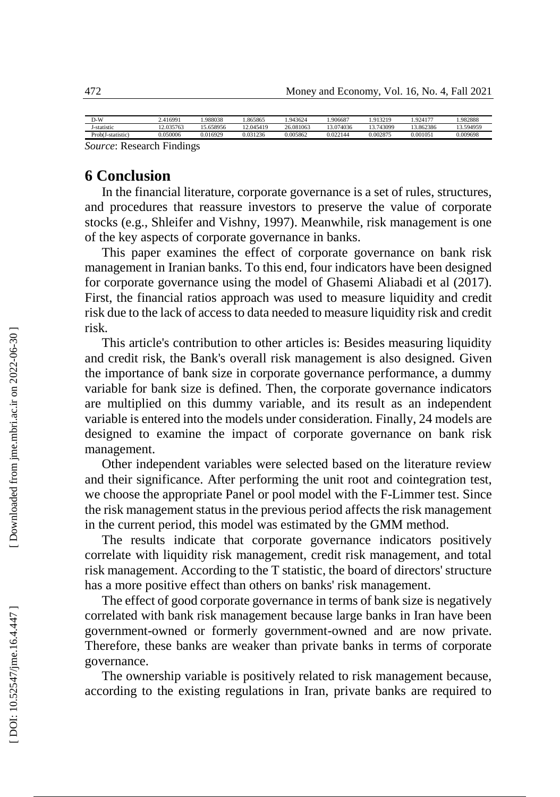| D-W                 | 2.416991              | 988038  | .865865      | 1.943624  | .906687   | 1.913219  | 924177   | 1.982888 |
|---------------------|-----------------------|---------|--------------|-----------|-----------|-----------|----------|----------|
| -statistic          | 2.035763              | .658956 | 12.045419    | 26.081063 | 13.074036 | 12.743099 | .862386  | 3.594959 |
| Prob(J-statistic)   | 0.050006              | ۔016929 | 1236<br>0.03 | 0.005862  | 0.022144  | 0.002875  | 0.001051 | 0.009698 |
| $\sim$<br><b>TN</b> | ÷.<br>$\cdot$ $\cdot$ |         |              |           |           |           |          |          |

*Source*: Research Findings

### **6 Conclusion**

In the financial literature, corporate governance is a set of rules, structures, and procedures that reassure investors to preserve the value of corporate stocks (e.g., Shleifer and Vishny, 1997). Meanwhile, risk management is one of the key aspects of corporate governance in banks.

This paper examines the effect of corporate governance on bank risk management in Iranian banks. To this end, four indicators have been designed for corporate governance using the model of Ghasemi Aliabadi et al (2017). First, the financial ratios approach was used to measure liquidity and credit risk due to the lack of access to data needed to measure liquidity risk and credit risk.

This article's contribution to other articles is: Besides measuring liquidity and credit risk, the Bank's overall risk management is also designed. Given the importance of bank size in corporate governance performance, a dummy variable for bank size is defined. Then, the corporate governance indicators are multiplied on this dummy variable, and its result as an independent variable is entered into the models under consideration. Finally, 24 models are designed to examine the impact of corporate governance on bank risk management.

Other independent variables were selected based on the literature review and their significance. After performing the unit root and cointegration test, we choose the appropriate Panel or pool model with the F -Limmer test. Since the risk management status in the previous period affects the risk management in the current period, this model was estimated by the GMM method.

The results indicate that corporate governance indicators positively correlate with liquidity risk management, credit risk management, and total risk management. According to the T statistic, the board of directors' structure has a more positive effect than others on banks' risk management.

The effect of good corporate governance in terms of bank size is negatively correlated with bank risk management because large banks in Iran have been government -owned or formerly government -owned and are now private. Therefore, these banks are weaker than private banks in terms of corporate governance.

The ownership variable is positively related to risk management because, according to the existing regulations in Iran, private banks are required to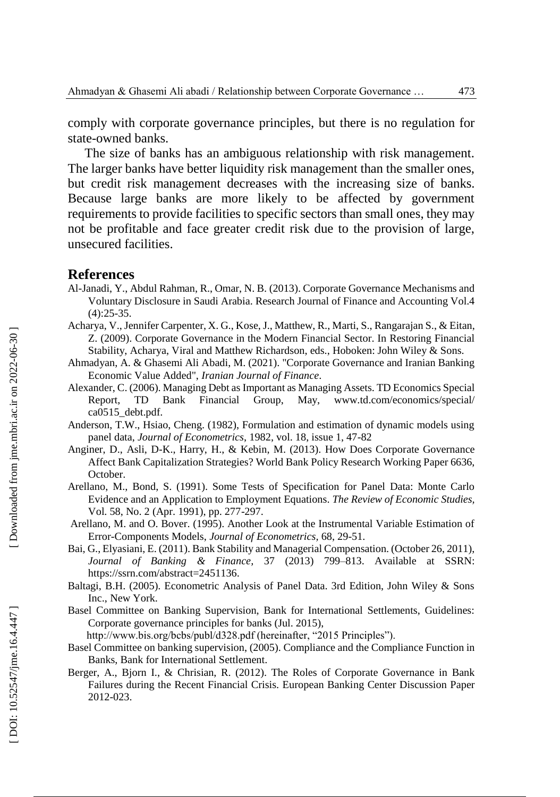comply with corporate governance principles, but there is no regulation for state -owned banks.

The size of banks has an ambiguous relationship with risk management. The larger banks have better liquidity risk management than the smaller ones, but credit risk management decreases with the increasing size of banks. Because large banks are more likely to be affected by government requirements to provide facilities to specific sectors than small ones, they may not be profitable and face greater credit risk due to the provision of large, unsecured facilities.

#### **References**

- Al -Janadi, Y., Abdul Rahman, R., Omar, N. B. (2013 ). Corporate Governance Mechanisms and Voluntary Disclosure in Saudi Arabia. Research Journal of Finance and Accounting Vol.4  $(4):25-35.$
- Acharya, V., Jennifer Carpenter, X. G., Kose, J., Matthew, R., Marti, S., Rangarajan S., & Eitan, Z. (2009). Corporate Governance in the Modern Financial Sector. In Restoring Financial Stability, Acharya, Viral and Matthew Richardson, eds., Hoboken: John Wiley & Sons.
- Ahmadyan, A. & Ghasemi Ali Abadi, M. (2021). "Corporate Governance and Iranian Banking Economic Value Added", *Iranian Journal of Finance* .
- Alexander, C. (2006 ). Managing Debt as Important as Managing Assets. TD Economics Special Report, TD Bank Financial Group, May, www.td.com/economics/special/ ca0515\_debt.pdf.
- Anderson, T.W., Hsiao, Cheng. (1982), Formulation and estimation of dynamic models using panel data, *Journal of Econometrics*, 1982, vol. 18, issue 1, 47 -82
- Anginer, D., Asli, D -K., Harry, H., & Kebin, M. (2013). How Does Corporate Governance Affect Bank Capitalization Strategies ? World Bank Policy Research Working Paper 6636, October.
- Arellano, M., Bond, S. (1991). Some Tests of Specification for Panel Data: Monte Carlo Evidence and an Application to Employment Equations. *The Review of Economic Studies,* Vol. 58, No. 2 (Apr. 1991), pp. 277 -297.
- Arellano, M. and O. Bover. (1995). Another Look at the Instrumental Variable Estimation of Error -Components Models, *Journal of Econometrics,* 68, 29 -51.
- Bai, G., Elyasiani, E. (2011). Bank Stability and Managerial Compensation. (October 26, 2011), *Journal of Banking & Finance ,* 37 (2013) 799 –813. Available at SSRN: https://ssrn.com/abstract=2451136.
- Baltagi, B.H. (2005). Econometric Analysis of Panel Data. 3rd Edition, John Wiley & Sons Inc., New York.
- Basel Committee on Banking Supervision, Bank for International Settlements, Guidelines: Corporate governance principles for banks (Jul. 2015),
	- http://www.bis.org/bcbs/publ/d328.pdf (hereinafter, "2015 Principles").
- Basel Committee on banking supervision, (2005). Compliance and the Compliance Function in Banks, Bank for International Settlement.
- Berger, A., Bjorn I., & Chrisian, R. (2012). The Roles of Corporate Governance in Bank Failures during the Recent Financial Crisis. European Banking Center Discussion Paper 2012 -023.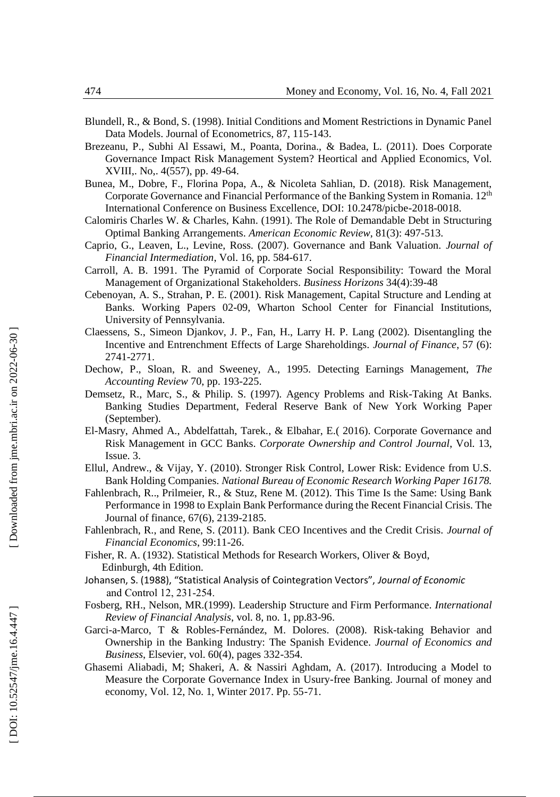- Blundell, R., & Bond, S. (1998). Initial Conditions and Moment Restrictions in Dynamic Panel Data Models. Journal of Econometrics, 87, 115 -143 .
- Brezeanu, P., Subhi Al Essawi, M., Poanta, Dorina., & Badea, L. (2011). Does Corporate Governance Impact Risk Management System ? Heortical and Applied Economics, Vol. XVIII,. No,. 4(557), pp. 49 -64.
- Bunea, M., Dobre, F., Florina Popa, A., & Nicoleta Sahlian, D. (2018). Risk Management, Corporate Governance and Financial Performance of the Banking System in Romania. 12th International Conference on Business Excellence, DOI: 10.2478/picbe -2018 -0018.
- Calomiris Charles W. & Charles, Kahn. (1991). The Role of Demandable Debt in Structuring Optimal Banking Arrangements. *American Economic Review*, 81(3): 497 -513.
- Caprio, G., Leaven, L., Levine, Ross. (2007). Governance and Bank Valuation. *Journal of Financial Intermediation*, Vol. 16, pp. 584 -617.
- Carroll, A. B. 1991. The Pyramid of Corporate Social Responsibility: Toward the Moral Management of Organizational Stakeholders. *[Business Horizons](https://www.researchgate.net/journal/Business-Horizons-0007-6813)* 34(4):39 -48
- Cebenoyan, A. S., Strahan, P. E. (2001). Risk Management, Capital Structure and Lending at Banks. Working Papers 02 -09, Wharton School Center for Financial Institutions, University of Pennsylvania.
- Claessens, S., Simeon Djankov, J. P., Fan, H., Larry H. P. Lang (2002). Disentangling the Incentive and Entrenchment Effects of Large Shareholdings. *Journal of Finance* , 57 (6): 2741 -2771.
- Dechow, P., Sloan, R. and Sweeney, A., 1995. Detecting Earnings Management, *The Accounting Review* 70, pp. 193 -225.
- Demsetz, R., Marc, S., & Philip. S. (1997). Agency Problems and Risk -Taking At Banks. Banking Studies Department, Federal Reserve Bank of New York Working Paper (September).
- El -Masry, Ahmed A., Abdelfattah, Tarek., & Elbahar, E.( 2016). Corporate Governance and Risk Management in GCC Banks. *Corporate Ownership and Control Journal*, Vol. 13, Issue. 3.
- Ellul, Andrew., & Vijay, Y. (2010). Stronger Risk Control, Lower Risk: Evidence from U.S. Bank Holding Companies. *National Bureau of Economic Research Working Paper 16178.*
- Fahlenbrach, R.., Prilmeier, R., & Stuz, Rene M. (2012). This Time Is the Same: Using Bank Performance in 1998 to Explain Bank Performance during the Recent Financial Crisis. The Journal of finance, 67(6), 2139 -2185.
- Fahlenbrach, R., and Rene, S. (2011). Bank CEO Incentives and the Credit Crisis. *Journal of Financial Economics*, 99:11 -26.
- Fisher, R. A. (1932). Statistical Methods for Research Workers, Oliver & Boyd, Edinburgh, 4th Edition.
- Johansen, S. (1988), "Statistical Analysis of Cointegration Vectors", *Journal of Economic*  and Control 12, 231‐254.
- Fosberg, RH. , Nelson, MR.(1999). Leadership Structure and Firm Performance. *International Review of Financial Analysis*, vol. 8, no. 1, pp.83 -96.
- Garci-a-Marco, T & Robles-Fernández, M. Dolores. (2008). Risk-taking Behavior and Ownership in the Banking Industry: The Spanish Evidence. *Journal of Economics and Business*, Elsevier, vol. 60(4), pages 332 -354.
- Ghasemi Aliabadi, M; Shakeri, A. & Nassiri Aghdam, A. (2017). Introducing a Model to Measure the Corporate Governance Index in Usury -free Banking. Journal of money and economy, Vol. 12, No. 1, Winter 2017. Pp. 55 -71.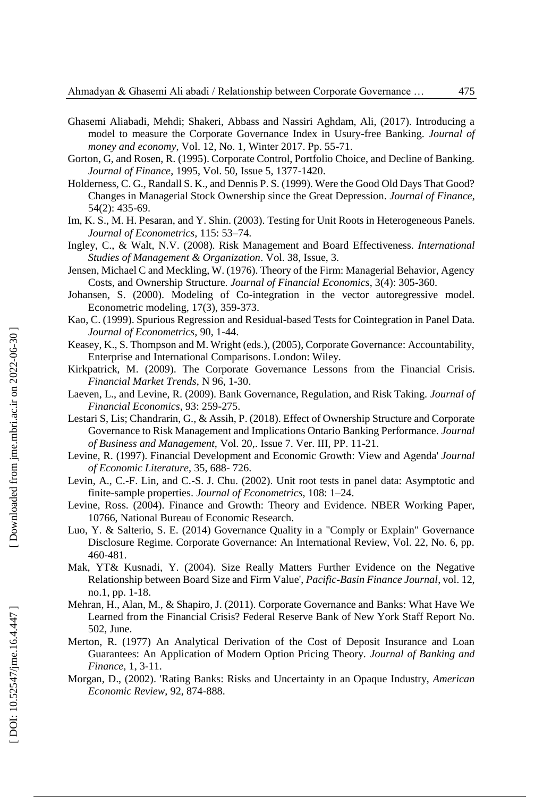- Ghasemi Aliabadi, Mehdi; Shakeri, Abbass and Nassiri Aghdam, Ali, (2017). Introducing a model to measure the Corporate Governance Index in Usury -free Banking. *Journal of money and economy*, Vol. 12, No. 1, Winter 2017. Pp. 55 -71.
- Gorton, G, and Rosen, R. ( 1995 ). Corporate Control, Portfolio Choice, and Decline of Banking. *Journal of Finance*, 1995, Vol. 50, Issue 5, 1377 -1420.
- Holderness, C. G., Randall S. K., and Dennis P. S. (1999). Were the Good Old Days That Good? Changes in Managerial Stock Ownership since the Great Depression. *Journal of Finance*, 54(2): 435 -69.
- Im, K. S., M. H. Pesaran, and Y. Shin. (2003). Testing for Unit Roots in Heterogeneous Panels. *Journal of Econometrics ,* 115: 53 –74.
- Ingley, C., & Walt, N.V. (2008). Risk Management and Board Effectiveness. *International Studies of Management & Organization*. Vol. 38, Issue, 3.
- Jensen, Michael C and Meckling, W. (1976). Theory of the Firm: Managerial Behavior, Agency Costs, and Ownership Structure. *Journal of Financial Economics*, 3(4): 305 -360.
- Johansen, S. (2000). Modeling of Co -integration in the vector autoregressive model. Econometric modeling, 17(3), 359 -373.
- Kao, C. (1999). Spurious Regression and Residual -based Tests for Cointegration in Panel Data*. Journal of Econometrics*, 90, 1-44.
- Keasey, K., S. Thompson and M. Wright (eds.), (2005), Corporate Governance: Accountability, Enterprise and International Comparisons. London: Wiley.
- Kirkpatrick, M. (2009). The Corporate Governance Lessons from the Financial Crisis. *Financial Market Trends*, N 96, 1 -30.
- Laeven, L., and Levine, R. (2009). Bank Governance, Regulation, and Risk Taking. *Journal of Financial Economics*, 93: 259 -275.
- Lestari S, Lis; Chandrarin, G., & Assih, P . (2018). Effect of Ownership Structure and Corporate Governance to Risk Management and Implications Ontario Banking Performance. *Journal of Business and Management,* Vol. 20,. Issue 7. Ver. III, PP. 11 -21.
- Levine, R. (1997). Financial Development and Economic Growth: View and Agenda' *Journal of Economic Literature*, 35, 688 - 726.
- Levin, A., C. -F. Lin, and C. -S. J. Chu. (2002). Unit root tests in panel data: Asymptotic and finite-sample properties. Journal of Econometrics, 108: 1-24.
- Levine, Ross. (2004). Finance and Growth: Theory and Evidence. NBER Working Paper, 10766, National Bureau of Economic Research.
- Luo, Y. & Salterio, S. E. (2014) Governance Quality in a "Comply or Explain" Governance Disclosure Regime. Corporate Governance: An International Review, Vol. 22, No. 6, pp. 460 -481.
- Mak, YT& Kusnadi, Y. (2004). Size Really Matters Further Evidence on the Negative Relationship between Board Size and Firm Value', *Pacific -Basin Finance Journal*, vol. 12, no.1, pp. 1 -18.
- Mehran, H., Alan, M., & Shapiro, J. (2011). Corporate Governance and Banks: What Have We Learned from the Financial Crisi s ? Federal Reserve Bank of New York Staff Report No. 502, June.
- Merton, R. (1977) An Analytical Derivation of the Cost of Deposit Insurance and Loan Guarantees: An Application of Modern Option Pricing Theory. *Journal of Banking and Finance,* 1, 3 -11.
- Morgan, D., (2002) . 'Rating Banks: Risks and Uncertainty in an Opaque Industry, *American Economic Review*, 92, 874 -888.